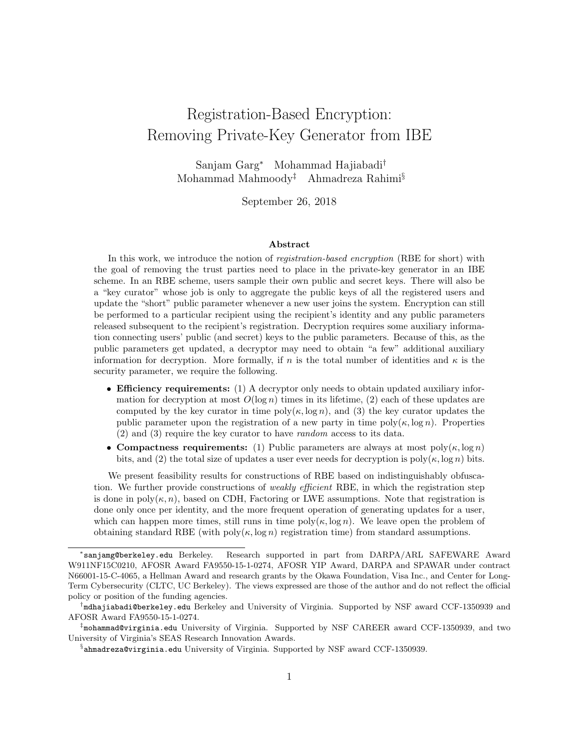# Registration-Based Encryption: Removing Private-Key Generator from IBE

Sanjam Garg<sup>∗</sup> Mohammad Hajiabadi† Mohammad Mahmoody‡ Ahmadreza Rahimi§

September 26, 2018

#### Abstract

In this work, we introduce the notion of *registration-based encryption* (RBE for short) with the goal of removing the trust parties need to place in the private-key generator in an IBE scheme. In an RBE scheme, users sample their own public and secret keys. There will also be a "key curator" whose job is only to aggregate the public keys of all the registered users and update the "short" public parameter whenever a new user joins the system. Encryption can still be performed to a particular recipient using the recipient's identity and any public parameters released subsequent to the recipient's registration. Decryption requires some auxiliary information connecting users' public (and secret) keys to the public parameters. Because of this, as the public parameters get updated, a decryptor may need to obtain "a few" additional auxiliary information for decryption. More formally, if n is the total number of identities and  $\kappa$  is the security parameter, we require the following.

- Efficiency requirements: (1) A decryptor only needs to obtain updated auxiliary information for decryption at most  $O(\log n)$  times in its lifetime, (2) each of these updates are computed by the key curator in time  $poly(\kappa, \log n)$ , and (3) the key curator updates the public parameter upon the registration of a new party in time  $\text{poly}(\kappa, \log n)$ . Properties (2) and (3) require the key curator to have random access to its data.
- Compactness requirements: (1) Public parameters are always at most  $poly(\kappa, \log n)$ bits, and (2) the total size of updates a user ever needs for decryption is  $poly(\kappa, \log n)$  bits.

We present feasibility results for constructions of RBE based on indistinguishably obfuscation. We further provide constructions of *weakly efficient* RBE, in which the registration step is done in  $poly(\kappa, n)$ , based on CDH, Factoring or LWE assumptions. Note that registration is done only once per identity, and the more frequent operation of generating updates for a user, which can happen more times, still runs in time  $\text{poly}(\kappa, \log n)$ . We leave open the problem of obtaining standard RBE (with  $poly(\kappa, \log n)$  registration time) from standard assumptions.

sanjamg@berkeley.edu Berkeley. Research supported in part from DARPA/ARL SAFEWARE Award W911NF15C0210, AFOSR Award FA9550-15-1-0274, AFOSR YIP Award, DARPA and SPAWAR under contract N66001-15-C-4065, a Hellman Award and research grants by the Okawa Foundation, Visa Inc., and Center for Long-Term Cybersecurity (CLTC, UC Berkeley). The views expressed are those of the author and do not reflect the official policy or position of the funding agencies.

<sup>†</sup> mdhajiabadi@berkeley.edu Berkeley and University of Virginia. Supported by NSF award CCF-1350939 and AFOSR Award FA9550-15-1-0274.

<sup>‡</sup> mohammad@virginia.edu University of Virginia. Supported by NSF CAREER award CCF-1350939, and two University of Virginia's SEAS Research Innovation Awards.

 $\S$ ahmadreza@virginia.edu University of Virginia. Supported by NSF award CCF-1350939.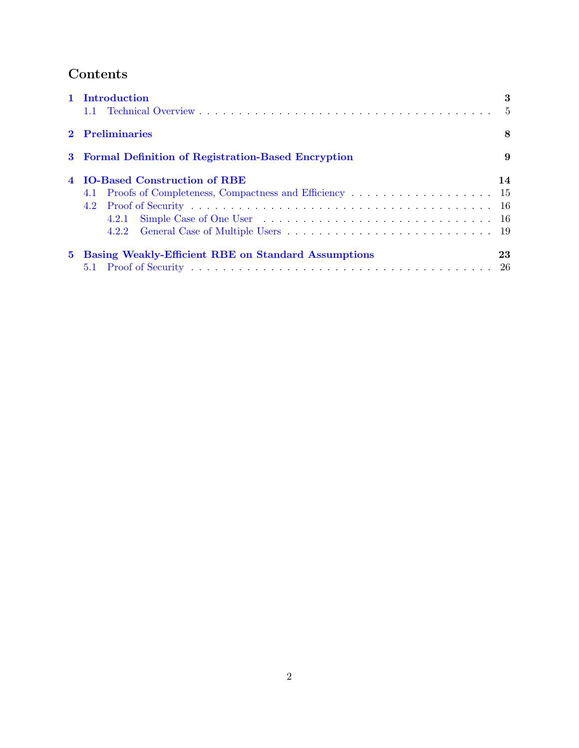# Contents

|    | 1 Introduction                                             | 3  |
|----|------------------------------------------------------------|----|
|    |                                                            |    |
|    | 2 Preliminaries                                            | 8  |
|    | 3 Formal Definition of Registration-Based Encryption       | 9  |
|    | <b>IO-Based Construction of RBE</b>                        | 14 |
|    | 4.1                                                        |    |
|    | 4.2                                                        |    |
|    | 4.2.1                                                      |    |
|    | 4.2.2                                                      |    |
| 5. | <b>Basing Weakly-Efficient RBE on Standard Assumptions</b> | 23 |
|    |                                                            |    |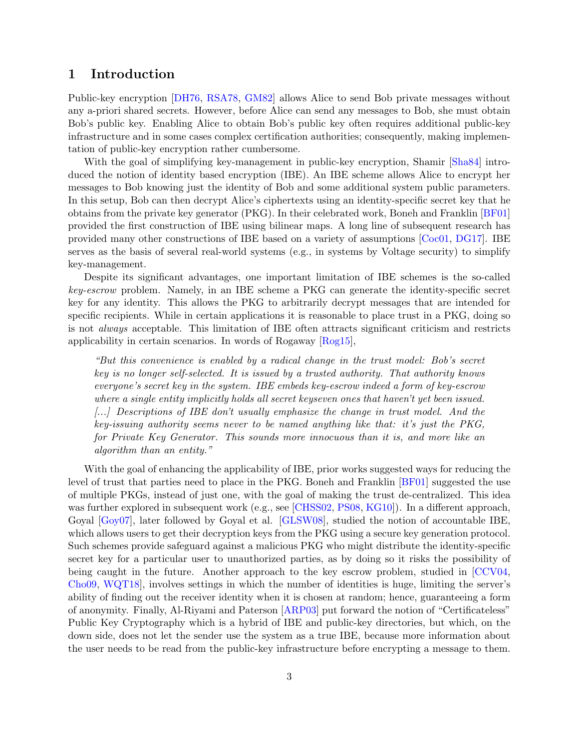# <span id="page-2-0"></span>1 Introduction

Public-key encryption [\[DH76,](#page-28-0) [RSA78,](#page-29-0) [GM82\]](#page-28-1) allows Alice to send Bob private messages without any a-priori shared secrets. However, before Alice can send any messages to Bob, she must obtain Bob's public key. Enabling Alice to obtain Bob's public key often requires additional public-key infrastructure and in some cases complex certification authorities; consequently, making implementation of public-key encryption rather cumbersome.

With the goal of simplifying key-management in public-key encryption, Shamir [\[Sha84\]](#page-29-1) introduced the notion of identity based encryption (IBE). An IBE scheme allows Alice to encrypt her messages to Bob knowing just the identity of Bob and some additional system public parameters. In this setup, Bob can then decrypt Alice's ciphertexts using an identity-specific secret key that he obtains from the private key generator (PKG). In their celebrated work, Boneh and Franklin [\[BF01\]](#page-27-0) provided the first construction of IBE using bilinear maps. A long line of subsequent research has provided many other constructions of IBE based on a variety of assumptions [\[Coc01,](#page-27-1) [DG17\]](#page-27-2). IBE serves as the basis of several real-world systems (e.g., in systems by Voltage security) to simplify key-management.

Despite its significant advantages, one important limitation of IBE schemes is the so-called key-escrow problem. Namely, in an IBE scheme a PKG can generate the identity-specific secret key for any identity. This allows the PKG to arbitrarily decrypt messages that are intended for specific recipients. While in certain applications it is reasonable to place trust in a PKG, doing so is not always acceptable. This limitation of IBE often attracts significant criticism and restricts applicability in certain scenarios. In words of Rogaway [\[Rog15\]](#page-28-2),

"But this convenience is enabled by a radical change in the trust model: Bob's secret key is no longer self-selected. It is issued by a trusted authority. That authority knows everyone's secret key in the system. IBE embeds key-escrow indeed a form of key-escrow where a single entity implicitly holds all secret keyseven ones that haven't yet been issued. [...] Descriptions of IBE don't usually emphasize the change in trust model. And the key-issuing authority seems never to be named anything like that: it's just the PKG, for Private Key Generator. This sounds more innocuous than it is, and more like an algorithm than an entity."

With the goal of enhancing the applicability of IBE, prior works suggested ways for reducing the level of trust that parties need to place in the PKG. Boneh and Franklin [\[BF01\]](#page-27-0) suggested the use of multiple PKGs, instead of just one, with the goal of making the trust de-centralized. This idea was further explored in subsequent work (e.g., see [\[CHSS02,](#page-27-3) [PS08,](#page-28-3) [KG10\]](#page-28-4)). In a different approach, Goyal [\[Goy07\]](#page-28-5), later followed by Goyal et al. [\[GLSW08\]](#page-28-6), studied the notion of accountable IBE, which allows users to get their decryption keys from the PKG using a secure key generation protocol. Such schemes provide safeguard against a malicious PKG who might distribute the identity-specific secret key for a particular user to unauthorized parties, as by doing so it risks the possibility of being caught in the future. Another approach to the key escrow problem, studied in [\[CCV04,](#page-27-4) [Cho09,](#page-27-5) [WQT18\]](#page-29-2), involves settings in which the number of identities is huge, limiting the server's ability of finding out the receiver identity when it is chosen at random; hence, guaranteeing a form of anonymity. Finally, Al-Riyami and Paterson [\[ARP03\]](#page-27-6) put forward the notion of "Certificateless" Public Key Cryptography which is a hybrid of IBE and public-key directories, but which, on the down side, does not let the sender use the system as a true IBE, because more information about the user needs to be read from the public-key infrastructure before encrypting a message to them.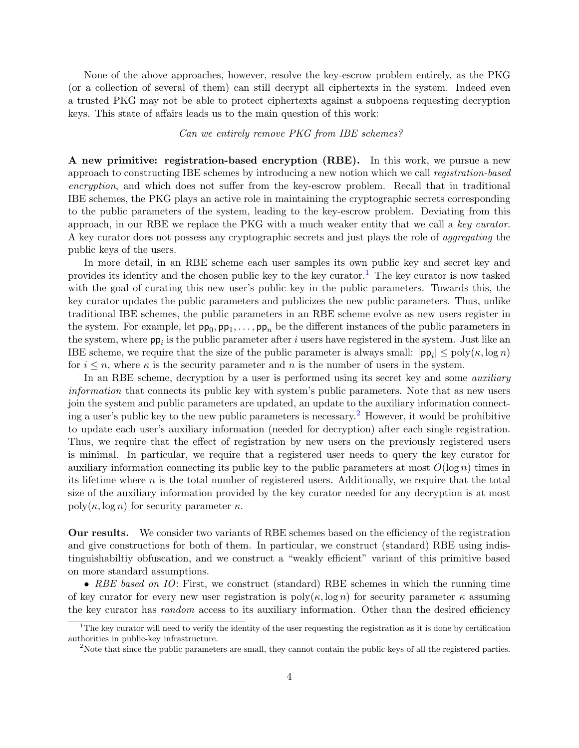None of the above approaches, however, resolve the key-escrow problem entirely, as the PKG (or a collection of several of them) can still decrypt all ciphertexts in the system. Indeed even a trusted PKG may not be able to protect ciphertexts against a subpoena requesting decryption keys. This state of affairs leads us to the main question of this work:

#### Can we entirely remove PKG from IBE schemes?

A new primitive: registration-based encryption (RBE). In this work, we pursue a new approach to constructing IBE schemes by introducing a new notion which we call registration-based encryption, and which does not suffer from the key-escrow problem. Recall that in traditional IBE schemes, the PKG plays an active role in maintaining the cryptographic secrets corresponding to the public parameters of the system, leading to the key-escrow problem. Deviating from this approach, in our RBE we replace the PKG with a much weaker entity that we call a key curator. A key curator does not possess any cryptographic secrets and just plays the role of aggregating the public keys of the users.

In more detail, in an RBE scheme each user samples its own public key and secret key and provides its identity and the chosen public key to the key curator.<sup>[1](#page-3-0)</sup> The key curator is now tasked with the goal of curating this new user's public key in the public parameters. Towards this, the key curator updates the public parameters and publicizes the new public parameters. Thus, unlike traditional IBE schemes, the public parameters in an RBE scheme evolve as new users register in the system. For example, let  $pp_0, pp_1, \ldots, pp_n$  be the different instances of the public parameters in the system, where  $pp_i$  is the public parameter after i users have registered in the system. Just like an IBE scheme, we require that the size of the public parameter is always small:  $|\mathsf{pp}_i| \leq \text{poly}(\kappa, \log n)$ for  $i \leq n$ , where  $\kappa$  is the security parameter and n is the number of users in the system.

In an RBE scheme, decryption by a user is performed using its secret key and some *auxiliary* information that connects its public key with system's public parameters. Note that as new users join the system and public parameters are updated, an update to the auxiliary information connecting a user's public key to the new public parameters is necessary.[2](#page-3-1) However, it would be prohibitive to update each user's auxiliary information (needed for decryption) after each single registration. Thus, we require that the effect of registration by new users on the previously registered users is minimal. In particular, we require that a registered user needs to query the key curator for auxiliary information connecting its public key to the public parameters at most  $O(\log n)$  times in its lifetime where  $n$  is the total number of registered users. Additionally, we require that the total size of the auxiliary information provided by the key curator needed for any decryption is at most  $poly(\kappa, \log n)$  for security parameter  $\kappa$ .

Our results. We consider two variants of RBE schemes based on the efficiency of the registration and give constructions for both of them. In particular, we construct (standard) RBE using indistinguishabiltiy obfuscation, and we construct a "weakly efficient" variant of this primitive based on more standard assumptions.

• RBE based on IO: First, we construct (standard) RBE schemes in which the running time of key curator for every new user registration is  $poly(\kappa, \log n)$  for security parameter  $\kappa$  assuming the key curator has *random* access to its auxiliary information. Other than the desired efficiency

<span id="page-3-0"></span><sup>&</sup>lt;sup>1</sup>The key curator will need to verify the identity of the user requesting the registration as it is done by certification authorities in public-key infrastructure.

<span id="page-3-1"></span><sup>&</sup>lt;sup>2</sup>Note that since the public parameters are small, they cannot contain the public keys of all the registered parties.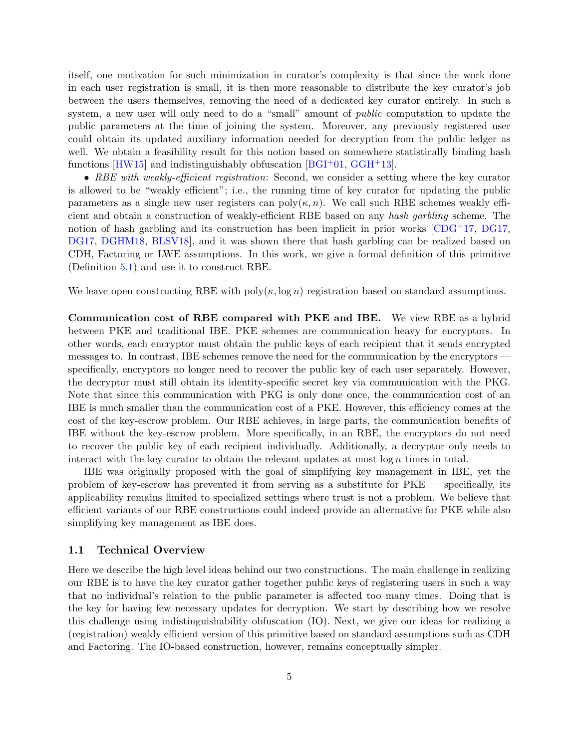itself, one motivation for such minimization in curator's complexity is that since the work done in each user registration is small, it is then more reasonable to distribute the key curator's job between the users themselves, removing the need of a dedicated key curator entirely. In such a system, a new user will only need to do a "small" amount of *public* computation to update the public parameters at the time of joining the system. Moreover, any previously registered user could obtain its updated auxiliary information needed for decryption from the public ledger as well. We obtain a feasibility result for this notion based on somewhere statistically binding hash functions  $[HW15]$  and indistinguishably obfuscation  $[BGI^+01, GGH^+13]$  $[BGI^+01, GGH^+13]$  $[BGI^+01, GGH^+13]$  $[BGI^+01, GGH^+13]$ .

• RBE with weakly-efficient registration: Second, we consider a setting where the key curator is allowed to be "weakly efficient"; i.e., the running time of key curator for updating the public parameters as a single new user registers can  $\text{poly}(\kappa, n)$ . We call such RBE schemes weakly efficient and obtain a construction of weakly-efficient RBE based on any hash garbling scheme. The notion of hash garbling and its construction has been implicit in prior works  $[CDG<sup>+</sup>17, DG17,$  $[CDG<sup>+</sup>17, DG17,$  $[CDG<sup>+</sup>17, DG17,$ [DG17,](#page-27-2) [DGHM18,](#page-28-9) BLSV18, and it was shown there that hash garbling can be realized based on CDH, Factoring or LWE assumptions. In this work, we give a formal definition of this primitive (Definition [5.1\)](#page-22-1) and use it to construct RBE.

We leave open constructing RBE with  $poly(\kappa, \log n)$  registration based on standard assumptions.

Communication cost of RBE compared with PKE and IBE. We view RBE as a hybrid between PKE and traditional IBE. PKE schemes are communication heavy for encryptors. In other words, each encryptor must obtain the public keys of each recipient that it sends encrypted messages to. In contrast, IBE schemes remove the need for the communication by the encryptors specifically, encryptors no longer need to recover the public key of each user separately. However, the decryptor must still obtain its identity-specific secret key via communication with the PKG. Note that since this communication with PKG is only done once, the communication cost of an IBE is much smaller than the communication cost of a PKE. However, this efficiency comes at the cost of the key-escrow problem. Our RBE achieves, in large parts, the communication benefits of IBE without the key-escrow problem. More specifically, in an RBE, the encryptors do not need to recover the public key of each recipient individually. Additionally, a decryptor only needs to interact with the key curator to obtain the relevant updates at most  $\log n$  times in total.

IBE was originally proposed with the goal of simplifying key management in IBE, yet the problem of key-escrow has prevented it from serving as a substitute for PKE — specifically, its applicability remains limited to specialized settings where trust is not a problem. We believe that efficient variants of our RBE constructions could indeed provide an alternative for PKE while also simplifying key management as IBE does.

### <span id="page-4-0"></span>1.1 Technical Overview

Here we describe the high level ideas behind our two constructions. The main challenge in realizing our RBE is to have the key curator gather together public keys of registering users in such a way that no individual's relation to the public parameter is affected too many times. Doing that is the key for having few necessary updates for decryption. We start by describing how we resolve this challenge using indistinguishability obfuscation (IO). Next, we give our ideas for realizing a (registration) weakly efficient version of this primitive based on standard assumptions such as CDH and Factoring. The IO-based construction, however, remains conceptually simpler.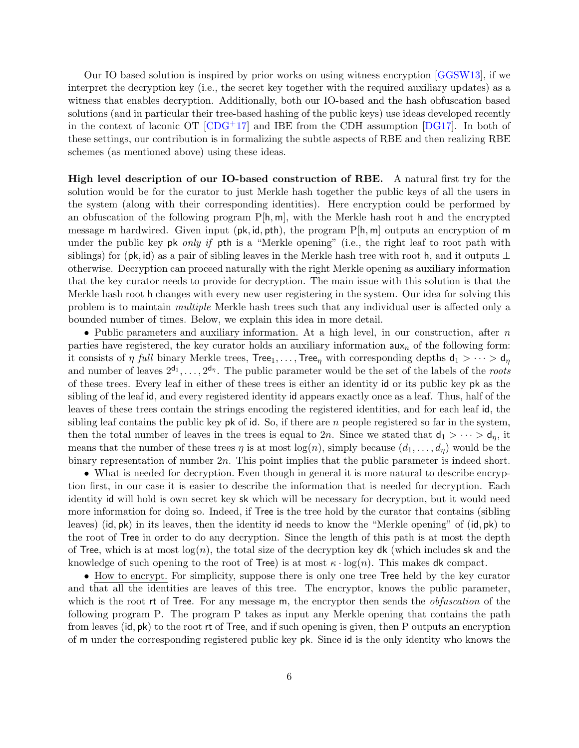Our IO based solution is inspired by prior works on using witness encryption [\[GGSW13\]](#page-28-10), if we interpret the decryption key (i.e., the secret key together with the required auxiliary updates) as a witness that enables decryption. Additionally, both our IO-based and the hash obfuscation based solutions (and in particular their tree-based hashing of the public keys) use ideas developed recently in the context of laconic OT  $[CDG+17]$  $[CDG+17]$  and IBE from the CDH assumption  $[DG17]$ . In both of these settings, our contribution is in formalizing the subtle aspects of RBE and then realizing RBE schemes (as mentioned above) using these ideas.

High level description of our IO-based construction of RBE. A natural first try for the solution would be for the curator to just Merkle hash together the public keys of all the users in the system (along with their corresponding identities). Here encryption could be performed by an obfuscation of the following program  $P[h, m]$ , with the Merkle hash root h and the encrypted message m hardwired. Given input  $(\mathsf{pk}, \mathsf{id}, \mathsf{pth})$ , the program  $P[\mathsf{h}, \mathsf{m}]$  outputs an encryption of m under the public key pk only if pth is a "Merkle opening" (i.e., the right leaf to root path with siblings) for (pk, id) as a pair of sibling leaves in the Merkle hash tree with root h, and it outputs ⊥ otherwise. Decryption can proceed naturally with the right Merkle opening as auxiliary information that the key curator needs to provide for decryption. The main issue with this solution is that the Merkle hash root h changes with every new user registering in the system. Our idea for solving this problem is to maintain multiple Merkle hash trees such that any individual user is affected only a bounded number of times. Below, we explain this idea in more detail.

• Public parameters and auxiliary information. At a high level, in our construction, after  $n$ parties have registered, the key curator holds an auxiliary information  $aux_n$  of the following form: it consists of  $\eta$  full binary Merkle trees, Tree<sub>1</sub>, ..., Tree<sub> $\eta$ </sub> with corresponding depths  $d_1 > \cdots > d_\eta$ and number of leaves  $2^{d_1}, \ldots, 2^{d_{\eta}}$ . The public parameter would be the set of the labels of the *roots* of these trees. Every leaf in either of these trees is either an identity id or its public key pk as the sibling of the leaf id, and every registered identity id appears exactly once as a leaf. Thus, half of the leaves of these trees contain the strings encoding the registered identities, and for each leaf id, the sibling leaf contains the public key pk of id. So, if there are n people registered so far in the system, then the total number of leaves in the trees is equal to 2n. Since we stated that  $d_1 > \cdots > d_n$ , it means that the number of these trees  $\eta$  is at most  $\log(n)$ , simply because  $(d_1, \ldots, d_\eta)$  would be the binary representation of number 2n. This point implies that the public parameter is indeed short.

• What is needed for decryption. Even though in general it is more natural to describe encryption first, in our case it is easier to describe the information that is needed for decryption. Each identity id will hold is own secret key sk which will be necessary for decryption, but it would need more information for doing so. Indeed, if Tree is the tree hold by the curator that contains (sibling leaves) (id, pk) in its leaves, then the identity id needs to know the "Merkle opening" of (id, pk) to the root of Tree in order to do any decryption. Since the length of this path is at most the depth of Tree, which is at most  $log(n)$ , the total size of the decryption key dk (which includes sk and the knowledge of such opening to the root of Tree) is at most  $\kappa \cdot \log(n)$ . This makes dk compact.

• How to encrypt. For simplicity, suppose there is only one tree Tree held by the key curator and that all the identities are leaves of this tree. The encryptor, knows the public parameter, which is the root rt of Tree. For any message m, the encryptor then sends the *obfuscation* of the following program P. The program P takes as input any Merkle opening that contains the path from leaves (id, pk) to the root rt of Tree, and if such opening is given, then P outputs an encryption of m under the corresponding registered public key pk. Since id is the only identity who knows the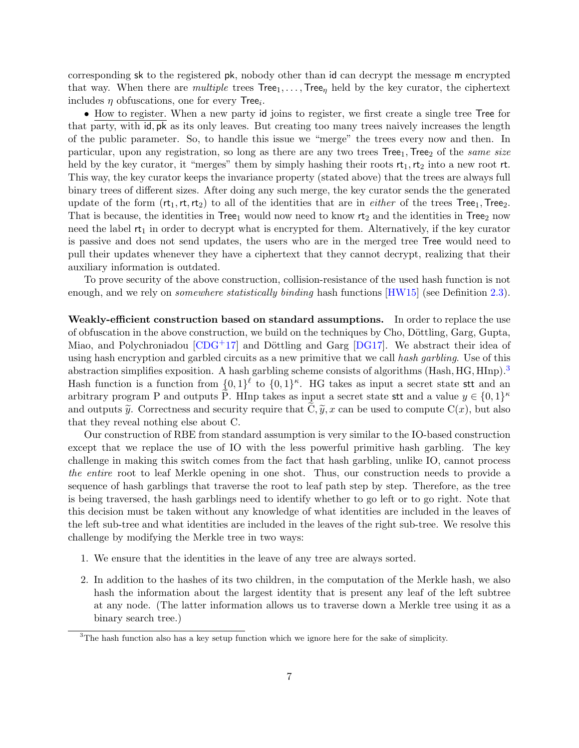corresponding sk to the registered pk, nobody other than id can decrypt the message m encrypted that way. When there are *multiple* trees  $Tree_1, \ldots, Tree_n$  held by the key curator, the ciphertext includes  $\eta$  obfuscations, one for every  $\mathsf{Tree}_i$ .

• How to register. When a new party id joins to register, we first create a single tree Tree for that party, with id, pk as its only leaves. But creating too many trees naively increases the length of the public parameter. So, to handle this issue we "merge" the trees every now and then. In particular, upon any registration, so long as there are any two trees  $Tree_1$ ,  $Tree_2$  of the *same size* held by the key curator, it "merges" them by simply hashing their roots  $rt_1, rt_2$  into a new root rt. This way, the key curator keeps the invariance property (stated above) that the trees are always full binary trees of different sizes. After doing any such merge, the key curator sends the the generated update of the form  $(r_1, r_1, r_2)$  to all of the identities that are in *either* of the trees Tree<sub>1</sub>, Tree<sub>2</sub>. That is because, the identities in Tree<sub>1</sub> would now need to know  $rt_2$  and the identities in Tree<sub>2</sub> now need the label  $rt_1$  in order to decrypt what is encrypted for them. Alternatively, if the key curator is passive and does not send updates, the users who are in the merged tree Tree would need to pull their updates whenever they have a ciphertext that they cannot decrypt, realizing that their auxiliary information is outdated.

To prove security of the above construction, collision-resistance of the used hash function is not enough, and we rely on *somewhere statistically binding* hash functions [\[HW15\]](#page-28-7) (see Definition [2.3\)](#page-8-1).

Weakly-efficient construction based on standard assumptions. In order to replace the use of obfuscation in the above construction, we build on the techniques by Cho, Döttling, Garg, Gupta, Miao, and Polychroniadou  $[CDG+17]$  $[CDG+17]$  and Döttling and Garg  $[DG17]$ . We abstract their idea of using hash encryption and garbled circuits as a new primitive that we call hash garbling. Use of this abstraction simplifies exposition. A hash garbling scheme consists of algorithms (Hash, HG, HInp).<sup>[3](#page-6-0)</sup> Hash function is a function from  $\{0,1\}^{\ell}$  to  $\{0,1\}^{\kappa}$ . HG takes as input a secret state stt and an arbitrary program P and outputs  $\widetilde{P}$ . HInp takes as input a secret state stt and a value  $y \in \{0,1\}^{\kappa}$ and outputs  $\tilde{y}$ . Correctness and security require that  $C, \tilde{y}$ , x can be used to compute  $C(x)$ , but also that they reveal nothing else about C.

Our construction of RBE from standard assumption is very similar to the IO-based construction except that we replace the use of IO with the less powerful primitive hash garbling. The key challenge in making this switch comes from the fact that hash garbling, unlike IO, cannot process the entire root to leaf Merkle opening in one shot. Thus, our construction needs to provide a sequence of hash garblings that traverse the root to leaf path step by step. Therefore, as the tree is being traversed, the hash garblings need to identify whether to go left or to go right. Note that this decision must be taken without any knowledge of what identities are included in the leaves of the left sub-tree and what identities are included in the leaves of the right sub-tree. We resolve this challenge by modifying the Merkle tree in two ways:

- 1. We ensure that the identities in the leave of any tree are always sorted.
- 2. In addition to the hashes of its two children, in the computation of the Merkle hash, we also hash the information about the largest identity that is present any leaf of the left subtree at any node. (The latter information allows us to traverse down a Merkle tree using it as a binary search tree.)

<span id="page-6-0"></span> $3$ The hash function also has a key setup function which we ignore here for the sake of simplicity.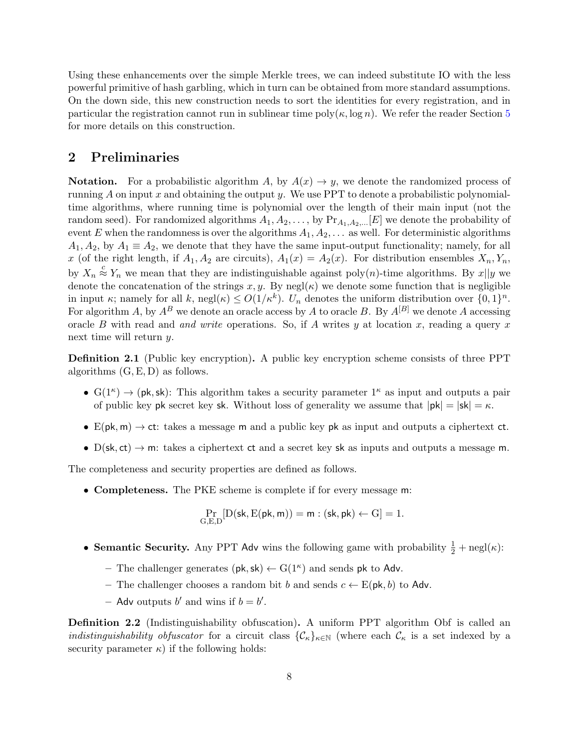Using these enhancements over the simple Merkle trees, we can indeed substitute IO with the less powerful primitive of hash garbling, which in turn can be obtained from more standard assumptions. On the down side, this new construction needs to sort the identities for every registration, and in particular the registration cannot run in sublinear time poly( $\kappa$ , log n). We refer the reader Section [5](#page-22-0) for more details on this construction.

# <span id="page-7-0"></span>2 Preliminaries

**Notation.** For a probabilistic algorithm A, by  $A(x) \rightarrow y$ , we denote the randomized process of running A on input x and obtaining the output y. We use PPT to denote a probabilistic polynomialtime algorithms, where running time is polynomial over the length of their main input (not the random seed). For randomized algorithms  $A_1, A_2, \ldots$ , by  $Pr_{A_1, A_2, \ldots} [E]$  we denote the probability of event E when the randomness is over the algorithms  $A_1, A_2, \ldots$  as well. For deterministic algorithms  $A_1, A_2$ , by  $A_1 \equiv A_2$ , we denote that they have the same input-output functionality; namely, for all x (of the right length, if  $A_1, A_2$  are circuits),  $A_1(x) = A_2(x)$ . For distribution ensembles  $X_n, Y_n$ , by  $X_n \stackrel{c}{\approx} Y_n$  we mean that they are indistinguishable against poly(n)-time algorithms. By x||y we denote the concatenation of the strings  $x, y$ . By negl( $\kappa$ ) we denote some function that is negligible in input  $\kappa$ ; namely for all  $k$ , negl $(\kappa) \leq O(1/\kappa^k)$ .  $U_n$  denotes the uniform distribution over  $\{0,1\}^n$ . For algorithm A, by  $A^B$  we denote an oracle access by A to oracle B. By  $A^{[B]}$  we denote A accessing oracle B with read and and write operations. So, if A writes y at location x, reading a query x next time will return y.

Definition 2.1 (Public key encryption). A public key encryption scheme consists of three PPT algorithms  $(G, E, D)$  as follows.

- $G(1^{\kappa}) \to (\mathsf{pk}, \mathsf{sk})$ : This algorithm takes a security parameter  $1^{\kappa}$  as input and outputs a pair of public key pk secret key sk. Without loss of generality we assume that  $|pk| = |sk| = \kappa$ .
- E(pk, m)  $\rightarrow$  ct: takes a message m and a public key pk as input and outputs a ciphertext ct.
- $D(\mathsf{sk}, \mathsf{ct}) \to \mathsf{m}$ : takes a ciphertext  $\mathsf{ct}$  and a secret key sk as inputs and outputs a message m.

The completeness and security properties are defined as follows.

• Completeness. The PKE scheme is complete if for every message m:

$$
\Pr_{\mathrm{G,E,D}}[D(\mathsf{sk},\mathrm{E}(\mathsf{pk},\mathsf{m}))=\mathsf{m}:(\mathsf{sk},\mathsf{pk})\leftarrow \mathrm{G}]=1.
$$

- Semantic Security. Any PPT Adv wins the following game with probability  $\frac{1}{2} + \text{negl}(\kappa)$ :
	- The challenger generates  $(\mathsf{pk}, \mathsf{sk}) \leftarrow G(1^{\kappa})$  and sends  $\mathsf{pk}$  to Adv.
	- The challenger chooses a random bit b and sends  $c \leftarrow E(\mathsf{pk}, b)$  to Adv.
	- Adv outputs b' and wins if  $b = b'$ .

Definition 2.2 (Indistinguishability obfuscation). A uniform PPT algorithm Obf is called an indistinguishability obfuscator for a circuit class  $\{\mathcal{C}_\kappa\}_{\kappa\in\mathbb{N}}$  (where each  $\mathcal{C}_\kappa$  is a set indexed by a security parameter  $\kappa$ ) if the following holds: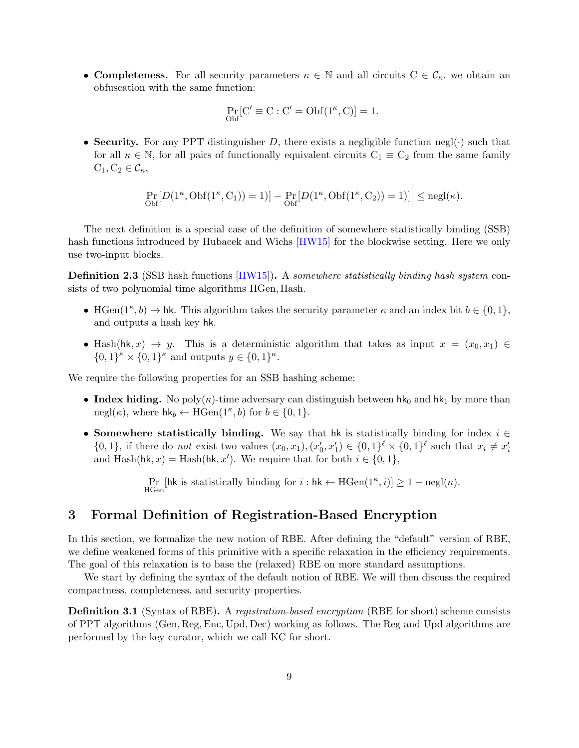• Completeness. For all security parameters  $\kappa \in \mathbb{N}$  and all circuits  $C \in \mathcal{C}_{\kappa}$ , we obtain an obfuscation with the same function:

$$
\Pr_{\text{Obf}}[C' \equiv C:C'=\text{Obf}(1^\kappa,C)]=1.
$$

• Security. For any PPT distinguisher D, there exists a negligible function negl( $\cdot$ ) such that for all  $\kappa \in \mathbb{N}$ , for all pairs of functionally equivalent circuits  $C_1 \equiv C_2$  from the same family  $C_1, C_2 \in \mathcal{C}_\kappa$ 

$$
\left|\Pr_{\text{Obf}}[D(1^{\kappa}, \text{Obf}(1^{\kappa}, C_1)) = 1)] - \Pr_{\text{Obf}}[D(1^{\kappa}, \text{Obf}(1^{\kappa}, C_2)) = 1)]\right| \le \operatorname{negl}(\kappa).
$$

The next definition is a special case of the definition of somewhere statistically binding (SSB) hash functions introduced by Hubacek and Wichs [\[HW15\]](#page-28-7) for the blockwise setting. Here we only use two-input blocks.

<span id="page-8-1"></span>**Definition 2.3** (SSB hash functions [\[HW15\]](#page-28-7)). A *somewhere statistically binding hash system* consists of two polynomial time algorithms HGen, Hash.

- HGen( $1^{\kappa}, b$ )  $\rightarrow$  hk. This algorithm takes the security parameter  $\kappa$  and an index bit  $b \in \{0, 1\}$ , and outputs a hash key hk.
- Hash(hk, x)  $\rightarrow y$ . This is a deterministic algorithm that takes as input  $x = (x_0, x_1) \in$  $\{0,1\}^{\kappa} \times \{0,1\}^{\kappa}$  and outputs  $y \in \{0,1\}^{\kappa}$ .

We require the following properties for an SSB hashing scheme:

- Index hiding. No poly( $\kappa$ )-time adversary can distinguish between hk<sub>0</sub> and hk<sub>1</sub> by more than negl( $\kappa$ ), where  $hk_b \leftarrow \text{HGen}(1^{\kappa}, b)$  for  $b \in \{0, 1\}.$
- Somewhere statistically binding. We say that hk is statistically binding for index  $i \in$  $\{0,1\}$ , if there do *not* exist two values  $(x_0, x_1), (x'_0, x'_1) \in \{0,1\}^{\ell} \times \{0,1\}^{\ell}$  such that  $x_i \neq x'_i$ and Hash(hk, x) = Hash(hk, x'). We require that for both  $i \in \{0, 1\}$ ,

 $Pr_{\text{HGen}}[\text{hk is statistically binding for } i : \text{hk} \leftarrow \text{HGen}(1^{\kappa}, i)] \ge 1 - \text{negl}(\kappa).$ 

# <span id="page-8-0"></span>3 Formal Definition of Registration-Based Encryption

In this section, we formalize the new notion of RBE. After defining the "default" version of RBE, we define weakened forms of this primitive with a specific relaxation in the efficiency requirements. The goal of this relaxation is to base the (relaxed) RBE on more standard assumptions.

We start by defining the syntax of the default notion of RBE. We will then discuss the required compactness, completeness, and security properties.

<span id="page-8-2"></span>**Definition 3.1** (Syntax of RBE). A registration-based encryption (RBE for short) scheme consists of PPT algorithms (Gen, Reg,Enc, Upd, Dec) working as follows. The Reg and Upd algorithms are performed by the key curator, which we call KC for short.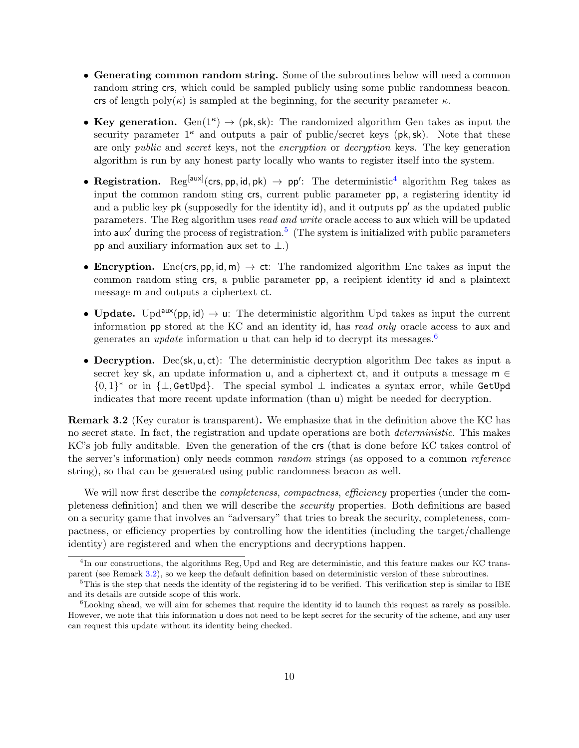- Generating common random string. Some of the subroutines below will need a common random string crs, which could be sampled publicly using some public randomness beacon. crs of length poly( $\kappa$ ) is sampled at the beginning, for the security parameter  $\kappa$ .
- Key generation.  $Gen(1^{\kappa}) \rightarrow (pk, sk)$ : The randomized algorithm Gen takes as input the security parameter  $1^{\kappa}$  and outputs a pair of public/secret keys ( $pk, sk$ ). Note that these are only *public* and *secret* keys, not the *encryption* or *decryption* keys. The key generation algorithm is run by any honest party locally who wants to register itself into the system.
- Registration. Reg<sup>[aux]</sup>(crs, pp, id, pk)  $\rightarrow$  pp': The deterministic<sup>[4](#page-9-0)</sup> algorithm Reg takes as input the common random sting crs, current public parameter pp, a registering identity id and a public key  $pk$  (supposedly for the identity  $id$ ), and it outputs  $pp'$  as the updated public parameters. The Reg algorithm uses read and write oracle access to aux which will be updated into aux' during the process of registration.<sup>[5](#page-9-1)</sup> (The system is initialized with public parameters pp and auxiliary information aux set to  $\perp$ .)
- Encryption. Enc(crs, pp, id, m)  $\rightarrow$  ct: The randomized algorithm Enc takes as input the common random sting crs, a public parameter pp, a recipient identity id and a plaintext message m and outputs a ciphertext ct.
- Update. Upd<sup>aux</sup>(pp, id)  $\rightarrow$  u: The deterministic algorithm Upd takes as input the current information pp stored at the KC and an identity id, has read only oracle access to aux and generates an *update* information u that can help id to decrypt its messages.<sup>[6](#page-9-2)</sup>
- Decryption. Dec(sk, u, ct): The deterministic decryption algorithm Dec takes as input a secret key sk, an update information u, and a ciphertext  $ct$ , and it outputs a message  $m \in$ {0, 1} <sup>∗</sup> or in {⊥, GetUpd}. The special symbol ⊥ indicates a syntax error, while GetUpd indicates that more recent update information (than u) might be needed for decryption.

<span id="page-9-3"></span>Remark 3.2 (Key curator is transparent). We emphasize that in the definition above the KC has no secret state. In fact, the registration and update operations are both deterministic. This makes KC's job fully auditable. Even the generation of the crs (that is done before KC takes control of the server's information) only needs common random strings (as opposed to a common reference string), so that can be generated using public randomness beacon as well.

We will now first describe the *completeness*, *compactness*, *efficiency* properties (under the completeness definition) and then we will describe the security properties. Both definitions are based on a security game that involves an "adversary" that tries to break the security, completeness, compactness, or efficiency properties by controlling how the identities (including the target/challenge identity) are registered and when the encryptions and decryptions happen.

<span id="page-9-0"></span><sup>&</sup>lt;sup>4</sup>In our constructions, the algorithms Reg, Upd and Reg are deterministic, and this feature makes our KC transparent (see Remark [3.2\)](#page-9-3), so we keep the default definition based on deterministic version of these subroutines.

<span id="page-9-1"></span> $5$ This is the step that needs the identity of the registering id to be verified. This verification step is similar to IBE and its details are outside scope of this work.

<span id="page-9-2"></span><sup>&</sup>lt;sup>6</sup>Looking ahead, we will aim for schemes that require the identity id to launch this request as rarely as possible. However, we note that this information u does not need to be kept secret for the security of the scheme, and any user can request this update without its identity being checked.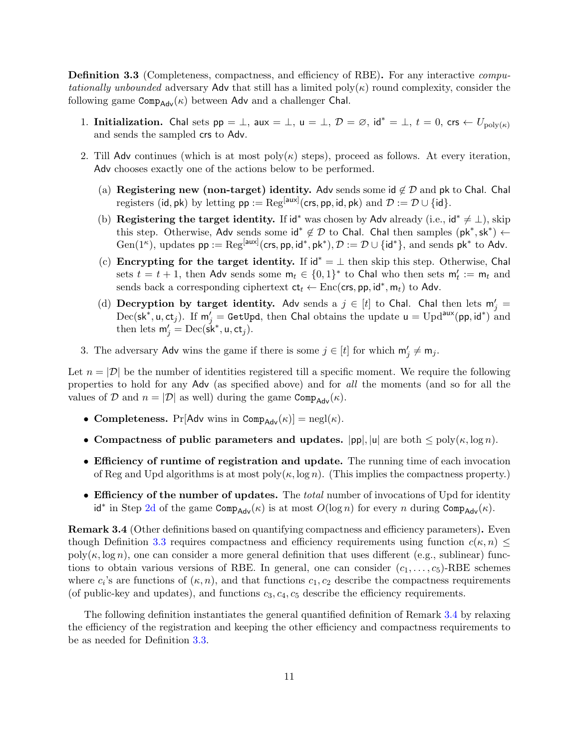<span id="page-10-1"></span>**Definition 3.3** (Completeness, compactness, and efficiency of RBE). For any interactive *compu*tationally unbounded adversary Adv that still has a limited  $poly(\kappa)$  round complexity, consider the following game  $\text{Comp}_{\text{Adv}}(\kappa)$  between Adv and a challenger Chal.

- 1. Initialization. Chal sets  $pp = \perp$ , aux  $= \perp$ ,  $u = \perp$ ,  $\mathcal{D} = \emptyset$ ,  $id^* = \perp$ ,  $t = 0$ , crs  $\leftarrow U_{poly(\kappa)}$ and sends the sampled crs to Adv.
- 2. Till Adv continues (which is at most  $\text{poly}(\kappa)$  steps), proceed as follows. At every iteration, Adv chooses exactly one of the actions below to be performed.
	- (a) Registering new (non-target) identity. Adv sends some id  $\notin \mathcal{D}$  and pk to Chal. Chal registers (id, pk) by letting  $pp := \text{Reg}^{[aux]}(\text{crs}, pp, id, pk)$  and  $\mathcal{D} := \mathcal{D} \cup \{id\}.$
	- (b) Registering the target identity. If id<sup>\*</sup> was chosen by Adv already (i.e., id<sup>\*</sup>  $\neq \perp$ ), skip this step. Otherwise, Adv sends some  $id^* \notin \mathcal{D}$  to Chal. Chal then samples  $(\mathsf{pk}^*, \mathsf{sk}^*) \leftarrow$  $Gen(1^{\kappa})$ , updates  $pp := Reg<sup>[aux]</sup>(crs, pp, id^*, pk^*), \mathcal{D} := \mathcal{D} \cup \{id^*\}$ , and sends  $pk^*$  to Adv.
	- (c) Encrypting for the target identity. If  $id^* = \perp$  then skip this step. Otherwise, Chal sets  $t = t + 1$ , then Adv sends some  $m_t \in \{0, 1\}^*$  to Chal who then sets  $m'_t := m_t$  and sends back a corresponding ciphertext  $ct_t \leftarrow Enc(crs, pp, id^*, m_t)$  to Adv.
	- (d) Decryption by target identity. Adv sends a  $j \in [t]$  to Chal. Chal then lets  $m'_j =$  $\mathrm{Dec}(\mathsf{sk}^*, \mathsf{u}, \mathsf{ct}_j).$  If  $\mathsf{m}_j' = \mathtt{GetUpd},$  then  $\mathsf{Chal}$  obtains the update  $\mathsf{u} = \mathrm{Upd}^{\mathsf{aux}}(\mathsf{pp}, \mathsf{id}^*)$  and then lets  $m'_j = \text{Dec}(\mathbf{s}\mathbf{k}^*, \mathbf{u}, \mathbf{ct}_j).$
- <span id="page-10-4"></span><span id="page-10-3"></span><span id="page-10-0"></span>3. The adversary Adv wins the game if there is some  $j \in [t]$  for which  $m'_j \neq m_j$ .

Let  $n = |\mathcal{D}|$  be the number of identities registered till a specific moment. We require the following properties to hold for any Adv (as specified above) and for all the moments (and so for all the values of D and  $n = |\mathcal{D}|$  as well) during the game Comp<sub>Adv</sub> $(\kappa)$ .

- Completeness. Pr[Adv wins in Comp<sub>Adv</sub> $(\kappa)$ ] = negl $(\kappa)$ .
- Compactness of public parameters and updates.  $|pp|, |u|$  are both  $\leq poly(\kappa, \log n)$ .
- Efficiency of runtime of registration and update. The running time of each invocation of Reg and Upd algorithms is at most  $poly(\kappa, \log n)$ . (This implies the compactness property.)
- Efficiency of the number of updates. The *total* number of invocations of Upd for identity id<sup>\*</sup> in Step [2d](#page-10-0) of the game  $\text{Comp}_{\text{Adv}}(\kappa)$  is at most  $O(\log n)$  for every n during  $\text{Comp}_{\text{Adv}}(\kappa)$ .

<span id="page-10-2"></span>Remark 3.4 (Other definitions based on quantifying compactness and efficiency parameters). Even though Definition [3.3](#page-10-1) requires compactness and efficiency requirements using function  $c(\kappa, n) \leq$  $poly(\kappa, \log n)$ , one can consider a more general definition that uses different (e.g., sublinear) functions to obtain various versions of RBE. In general, one can consider  $(c_1, \ldots, c_5)$ -RBE schemes where  $c_i$ 's are functions of  $(\kappa, n)$ , and that functions  $c_1, c_2$  describe the compactness requirements (of public-key and updates), and functions  $c_3, c_4, c_5$  describe the efficiency requirements.

The following definition instantiates the general quantified definition of Remark [3.4](#page-10-2) by relaxing the efficiency of the registration and keeping the other efficiency and compactness requirements to be as needed for Definition [3.3.](#page-10-1)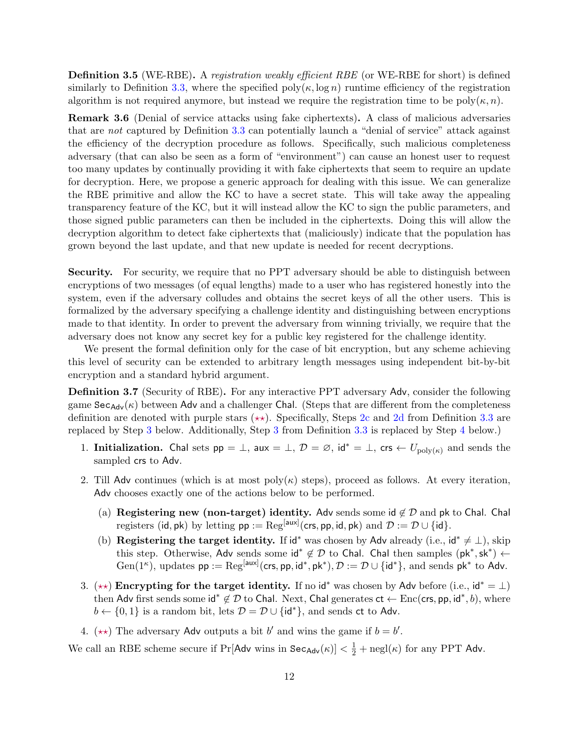<span id="page-11-5"></span>**Definition 3.5** (WE-RBE). A registration weakly efficient RBE (or WE-RBE for short) is defined similarly to Definition [3.3,](#page-10-1) where the specified poly $(\kappa, \log n)$  runtime efficiency of the registration algorithm is not required anymore, but instead we require the registration time to be  $poly(\kappa, n)$ .

<span id="page-11-4"></span>Remark 3.6 (Denial of service attacks using fake ciphertexts). A class of malicious adversaries that are not captured by Definition [3.3](#page-10-1) can potentially launch a "denial of service" attack against the efficiency of the decryption procedure as follows. Specifically, such malicious completeness adversary (that can also be seen as a form of "environment") can cause an honest user to request too many updates by continually providing it with fake ciphertexts that seem to require an update for decryption. Here, we propose a generic approach for dealing with this issue. We can generalize the RBE primitive and allow the KC to have a secret state. This will take away the appealing transparency feature of the KC, but it will instead allow the KC to sign the public parameters, and those signed public parameters can then be included in the ciphertexts. Doing this will allow the decryption algorithm to detect fake ciphertexts that (maliciously) indicate that the population has grown beyond the last update, and that new update is needed for recent decryptions.

Security. For security, we require that no PPT adversary should be able to distinguish between encryptions of two messages (of equal lengths) made to a user who has registered honestly into the system, even if the adversary colludes and obtains the secret keys of all the other users. This is formalized by the adversary specifying a challenge identity and distinguishing between encryptions made to that identity. In order to prevent the adversary from winning trivially, we require that the adversary does not know any secret key for a public key registered for the challenge identity.

We present the formal definition only for the case of bit encryption, but any scheme achieving this level of security can be extended to arbitrary length messages using independent bit-by-bit encryption and a standard hybrid argument.

<span id="page-11-2"></span>Definition 3.7 (Security of RBE). For any interactive PPT adversary Adv, consider the following game  $\text{Sec}_{\text{Adv}}(\kappa)$  between Adv and a challenger Chal. (Steps that are different from the completeness definition are denoted with purple stars  $(\star \star)$ . Specifically, Steps [2c](#page-10-3) and [2d](#page-10-0) from Definition [3.3](#page-10-1) are replaced by Step [3](#page-11-0) below. Additionally, Step [3](#page-10-4) from Definition [3.3](#page-10-1) is replaced by Step [4](#page-11-1) below.)

- 1. Initialization. Chal sets  $pp = \perp$ , aux =  $\perp$ ,  $\mathcal{D} = \emptyset$ , id<sup>\*</sup> =  $\perp$ , crs  $\leftarrow U_{\text{poly}(\kappa)}$  and sends the sampled crs to Adv.
- 2. Till Adv continues (which is at most  $\text{poly}(\kappa)$  steps), proceed as follows. At every iteration, Adv chooses exactly one of the actions below to be performed.
	- (a) Registering new (non-target) identity. Adv sends some id  $\notin \mathcal{D}$  and pk to Chal. Chal registers (id, pk) by letting  $pp := \text{Reg}^{[aux]}(\text{crs}, pp, id, pk)$  and  $\mathcal{D} := \mathcal{D} \cup \{id\}.$
	- (b) **Registering the target identity.** If id<sup>\*</sup> was chosen by Adv already (i.e., id<sup>\*</sup>  $\neq \bot$ ), skip this step. Otherwise, Adv sends some  $id^* \notin \mathcal{D}$  to Chal. Chal then samples  $(\mathsf{pk}^*, \mathsf{sk}^*) \leftarrow$  $Gen(1^{\kappa})$ , updates  $pp := Reg^{[aux]}(crs, pp, id^*, pk^*), \mathcal{D} := \mathcal{D} \cup \{id^*\}$ , and sends  $pk^*$  to Adv.
- <span id="page-11-3"></span><span id="page-11-0"></span>3.  $(\star\star)$  Encrypting for the target identity. If no id<sup>∗</sup> was chosen by Adv before (i.e., id<sup>\*</sup> = ⊥) then Adv first sends some  $id^* \notin \mathcal{D}$  to Chal. Next, Chal generates  $ct \leftarrow Enc(crs, pp, id^*, b)$ , where  $b \leftarrow \{0, 1\}$  is a random bit, lets  $\mathcal{D} = \mathcal{D} \cup \{\mathsf{id}^*\}$ , and sends ct to Adv.
- <span id="page-11-1"></span>4. ( $\star\star$ ) The adversary Adv outputs a bit b' and wins the game if  $b = b'$ .

We call an RBE scheme secure if Pr[Adv wins in  $\texttt{Sec}_{\text{Adv}}(\kappa)$ ]  $\lt \frac{1}{2} + \text{negl}(\kappa)$  for any PPT Adv.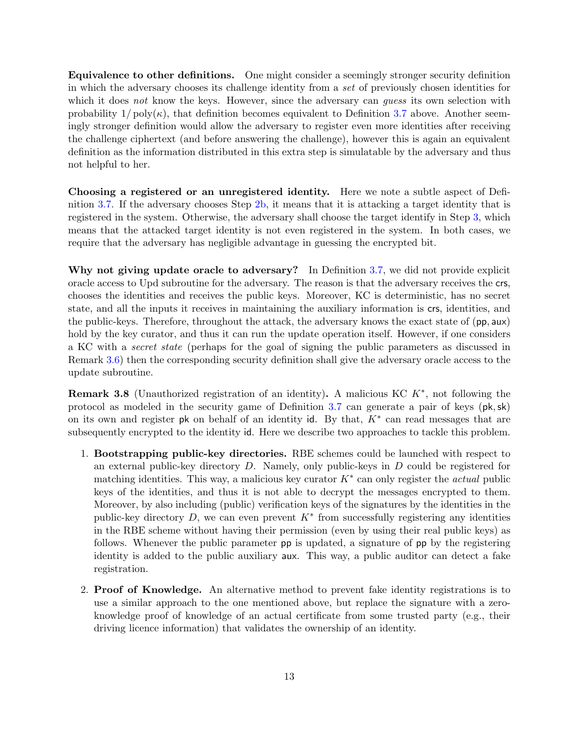Equivalence to other definitions. One might consider a seemingly stronger security definition in which the adversary chooses its challenge identity from a set of previously chosen identities for which it does not know the keys. However, since the adversary can *quess* its own selection with probability  $1/poly(\kappa)$ , that definition becomes equivalent to Definition [3.7](#page-11-2) above. Another seemingly stronger definition would allow the adversary to register even more identities after receiving the challenge ciphertext (and before answering the challenge), however this is again an equivalent definition as the information distributed in this extra step is simulatable by the adversary and thus not helpful to her.

Choosing a registered or an unregistered identity. Here we note a subtle aspect of Definition [3.7.](#page-11-2) If the adversary chooses Step [2b,](#page-11-3) it means that it is attacking a target identity that is registered in the system. Otherwise, the adversary shall choose the target identify in Step [3,](#page-11-0) which means that the attacked target identity is not even registered in the system. In both cases, we require that the adversary has negligible advantage in guessing the encrypted bit.

Why not giving update oracle to adversary? In Definition [3.7,](#page-11-2) we did not provide explicit oracle access to Upd subroutine for the adversary. The reason is that the adversary receives the crs, chooses the identities and receives the public keys. Moreover, KC is deterministic, has no secret state, and all the inputs it receives in maintaining the auxiliary information is crs, identities, and the public-keys. Therefore, throughout the attack, the adversary knows the exact state of (pp, aux) hold by the key curator, and thus it can run the update operation itself. However, if one considers a KC with a secret state (perhaps for the goal of signing the public parameters as discussed in Remark [3.6\)](#page-11-4) then the corresponding security definition shall give the adversary oracle access to the update subroutine.

**Remark 3.8** (Unauthorized registration of an identity). A malicious KC  $K^*$ , not following the protocol as modeled in the security game of Definition [3.7](#page-11-2) can generate a pair of keys (pk,sk) on its own and register  $pk$  on behalf of an identity id. By that,  $K^*$  can read messages that are subsequently encrypted to the identity id. Here we describe two approaches to tackle this problem.

- 1. Bootstrapping public-key directories. RBE schemes could be launched with respect to an external public-key directory  $D$ . Namely, only public-keys in  $D$  could be registered for matching identities. This way, a malicious key curator  $K^*$  can only register the *actual* public keys of the identities, and thus it is not able to decrypt the messages encrypted to them. Moreover, by also including (public) verification keys of the signatures by the identities in the public-key directory  $D$ , we can even prevent  $K^*$  from successfully registering any identities in the RBE scheme without having their permission (even by using their real public keys) as follows. Whenever the public parameter pp is updated, a signature of pp by the registering identity is added to the public auxiliary aux. This way, a public auditor can detect a fake registration.
- 2. Proof of Knowledge. An alternative method to prevent fake identity registrations is to use a similar approach to the one mentioned above, but replace the signature with a zeroknowledge proof of knowledge of an actual certificate from some trusted party (e.g., their driving licence information) that validates the ownership of an identity.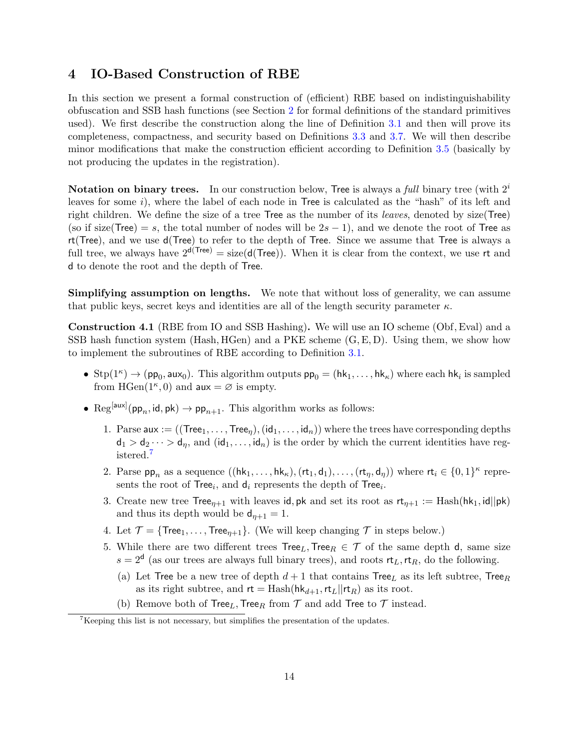# <span id="page-13-0"></span>4 IO-Based Construction of RBE

In this section we present a formal construction of (efficient) RBE based on indistinguishability obfuscation and SSB hash functions (see Section [2](#page-7-0) for formal definitions of the standard primitives used). We first describe the construction along the line of Definition [3.1](#page-8-2) and then will prove its completeness, compactness, and security based on Definitions [3.3](#page-10-1) and [3.7.](#page-11-2) We will then describe minor modifications that make the construction efficient according to Definition [3.5](#page-11-5) (basically by not producing the updates in the registration).

**Notation on binary trees.** In our construction below, Tree is always a full binary tree (with  $2<sup>i</sup>$ leaves for some  $i$ ), where the label of each node in Tree is calculated as the "hash" of its left and right children. We define the size of a tree Tree as the number of its leaves, denoted by size(Tree) (so if size(Tree) = s, the total number of nodes will be  $2s - 1$ ), and we denote the root of Tree as rt(Tree), and we use d(Tree) to refer to the depth of Tree. Since we assume that Tree is always a full tree, we always have  $2^{d(Tree)} = size(d(Tree))$ . When it is clear from the context, we use rt and d to denote the root and the depth of Tree.

Simplifying assumption on lengths. We note that without loss of generality, we can assume that public keys, secret keys and identities are all of the length security parameter  $\kappa$ .

<span id="page-13-2"></span>Construction 4.1 (RBE from IO and SSB Hashing). We will use an IO scheme (Obf, Eval) and a SSB hash function system (Hash, HGen) and a PKE scheme  $(G, E, D)$ . Using them, we show how to implement the subroutines of RBE according to Definition [3.1.](#page-8-2)

- Stp $(1^{\kappa}) \to (pp_0, aux_0)$ . This algorithm outputs  $pp_0 = (hk_1, ..., hk_{\kappa})$  where each  $hk_i$  is sampled from  $HGen(1^{\kappa}, 0)$  and  $aux = \emptyset$  is empty.
- Reg<sup>[aux]</sup>( $pp_n$ , id,  $pk$ )  $\rightarrow pp_{n+1}$ . This algorithm works as follows:
	- 1. Parse aux := ((Tree<sub>1</sub>, ..., Tree<sub>n</sub>), (id<sub>1</sub>, ..., id<sub>n</sub>)) where the trees have corresponding depths  $d_1 > d_2 \cdots > d_n$ , and  $(id_1, \ldots, id_n)$  is the order by which the current identities have registered.[7](#page-13-1)
	- 2. Parse  $\mathsf{pp}_n$  as a sequence  $((\mathsf{hk}_1, \ldots, \mathsf{hk}_\kappa), (\mathsf{rt}_1, \mathsf{d}_1), \ldots, (\mathsf{rt}_\eta, \mathsf{d}_\eta))$  where  $\mathsf{rt}_i \in \{0,1\}^\kappa$  represents the root of  $Tree_i$ , and  $d_i$  represents the depth of  $Tree_i$ .
	- 3. Create new tree  $\text{Tree}_{\eta+1}$  with leaves id, pk and set its root as  $\text{rt}_{\eta+1} := \text{Hash}(\text{hk}_1, \text{id}||\text{pk})$ and thus its depth would be  $d_{\eta+1} = 1$ .
	- 4. Let  $\mathcal{T} = \{ \text{Tree}_1, \ldots, \text{Tree}_{n+1} \}.$  (We will keep changing  $\mathcal{T}$  in steps below.)
	- 5. While there are two different trees  $Tree_L$ ,  $Tree_R \in \mathcal{T}$  of the same depth d, same size  $s = 2<sup>d</sup>$  (as our trees are always full binary trees), and roots  $rt_L, rt_R$ , do the following.
		- (a) Let Tree be a new tree of depth  $d+1$  that contains Tree<sub>L</sub> as its left subtree, Tree<sub>R</sub> as its right subtree, and  $rt = Hash(hk_{d+1},rt_L||rt_R)$  as its root.
		- (b) Remove both of  $Tree_L$ , Tree<sub>R</sub> from  $\mathcal T$  and add Tree to  $\mathcal T$  instead.

<span id="page-13-1"></span><sup>&</sup>lt;sup>7</sup>Keeping this list is not necessary, but simplifies the presentation of the updates.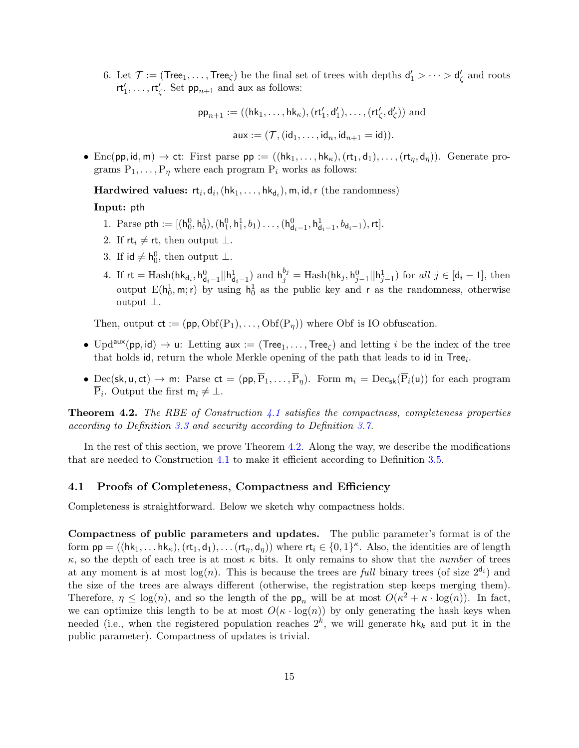6. Let  $\mathcal{T} := (\text{Tree}_1, \ldots, \text{Tree}_{\zeta})$  be the final set of trees with depths  $d'_1 > \cdots > d'_{\zeta}$  and roots  $rt'_1, \ldots, rt'_\zeta$ . Set pp<sub>n+1</sub> and aux as follows:

$$
pp_{n+1} := ((hk_1, ..., hk_\kappa), (rt'_1, d'_1), ..., (rt'_\zeta, d'_\zeta))
$$
 and  
aux :=  $(\mathcal{T}, (id_1, ..., id_n, id_{n+1} = id)).$ 

• Enc(pp, id, m)  $\rightarrow$  ct: First parse pp := ((hk<sub>1</sub>, ..., hk<sub>k</sub>), (rt<sub>1</sub>, d<sub>1</sub>), ..., (rt<sub>η</sub>, d<sub>η</sub>)). Generate programs  $P_1, \ldots, P_n$  where each program  $P_i$  works as follows:

 $\textbf{Hardwired values: } \textsf{rt}_i, \textsf{d}_i, (\textsf{hk}_1, \ldots, \textsf{hk}_{\textsf{d}_i}), \textsf{m}, \textsf{id}, \textsf{r} \text{ (the randomness)}$ 

## Input: pth

- 1. Parse pth :=  $[(h_0^0, h_0^1), (h_1^0, h_1^1, b_1) \dots, (h_{d_i-1}^0, h_{d_i-1}^1, b_{d_i-1}),$ rt].
- 2. If  $rt_i \neq rt$ , then output  $\perp$ .
- 3. If  $id \neq h_0^0$ , then output  $\perp$ .
- 4. If  $rt = \text{Hash}(\text{hk}_{d_i}, \text{h}_{d_i-1}^0 || \text{h}_{d_i-1}^1)$  and  $\text{h}_{j}^{b_j} = \text{Hash}(\text{hk}_{j}, \text{h}_{j-1}^0 || \text{h}_{j-1}^1)$  for all  $j \in [d_i 1]$ , then output  $E(h_0^1, m; r)$  by using  $h_0^1$  as the public key and r as the randomness, otherwise output ⊥.

Then, output  $ct := (pp, Obf(P_1), \ldots, Obf(P_n))$  where Obf is IO obfuscation.

- Upd<sup>aux</sup>(pp, id)  $\rightarrow$  u: Letting aux := (Tree<sub>1</sub>, ..., Tree<sub>c</sub>) and letting i be the index of the tree that holds id, return the whole Merkle opening of the path that leads to id in  $Tree_i$ .
- Dec(sk, u, ct)  $\rightarrow$  m: Parse ct = (pp,  $\overline{P}_1,\ldots,\overline{P}_n$ ). Form  $m_i = \text{Dec}_{sk}(\overline{P}_i(u))$  for each program  $\overline{P}_i$ . Output the first  $m_i \neq \perp$ .

<span id="page-14-1"></span>**Theorem 4.2.** The RBE of Construction [4.1](#page-13-2) satisfies the compactness, completeness properties according to Definition [3.3](#page-10-1) and security according to Definition [3.7.](#page-11-2)

In the rest of this section, we prove Theorem [4.2.](#page-14-1) Along the way, we describe the modifications that are needed to Construction [4.1](#page-13-2) to make it efficient according to Definition [3.5.](#page-11-5)

### <span id="page-14-0"></span>4.1 Proofs of Completeness, Compactness and Efficiency

Completeness is straightforward. Below we sketch why compactness holds.

Compactness of public parameters and updates. The public parameter's format is of the form  $pp = ((hk_1, \ldots hk_\kappa), (rt_1, d_1), \ldots (rt_\eta, d_\eta))$  where  $rt_i \in \{0, 1\}^\kappa$ . Also, the identities are of length  $\kappa$ , so the depth of each tree is at most  $\kappa$  bits. It only remains to show that the *number* of trees at any moment is at most  $log(n)$ . This is because the trees are full binary trees (of size  $2^{d_i}$ ) and the size of the trees are always different (otherwise, the registration step keeps merging them). Therefore,  $\eta \leq \log(n)$ , and so the length of the  $pp_n$  will be at most  $O(\kappa^2 + \kappa \cdot \log(n))$ . In fact, we can optimize this length to be at most  $O(\kappa \cdot \log(n))$  by only generating the hash keys when needed (i.e., when the registered population reaches  $2^k$ , we will generate  $h\mathsf{k}_k$  and put it in the public parameter). Compactness of updates is trivial.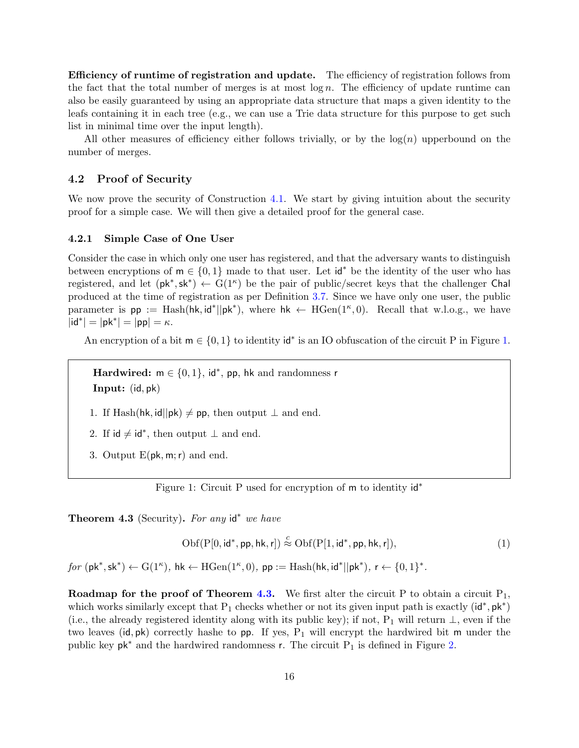Efficiency of runtime of registration and update. The efficiency of registration follows from the fact that the total number of merges is at most  $\log n$ . The efficiency of update runtime can also be easily guaranteed by using an appropriate data structure that maps a given identity to the leafs containing it in each tree (e.g., we can use a Trie data structure for this purpose to get such list in minimal time over the input length).

All other measures of efficiency either follows trivially, or by the  $log(n)$  upperbound on the number of merges.

## <span id="page-15-0"></span>4.2 Proof of Security

We now prove the security of Construction [4.1.](#page-13-2) We start by giving intuition about the security proof for a simple case. We will then give a detailed proof for the general case.

## <span id="page-15-1"></span>4.2.1 Simple Case of One User

Consider the case in which only one user has registered, and that the adversary wants to distinguish between encryptions of  $m \in \{0, 1\}$  made to that user. Let  $\mathsf{id}^*$  be the identity of the user who has registered, and let  $(\mathsf{pk}^*, \mathsf{sk}^*) \leftarrow G(1^{\kappa})$  be the pair of public/secret keys that the challenger Chal produced at the time of registration as per Definition [3.7.](#page-11-2) Since we have only one user, the public parameter is  $pp := \text{Hash}(\text{hk}, \text{id}^*||pk^*)$ , where  $hk \leftarrow \text{HGen}(1^{\kappa}, 0)$ . Recall that w.l.o.g., we have  $|\mathsf{id}^*| = |\mathsf{pk}^*| = |\mathsf{pp}| = \kappa.$ 

An encryption of a bit  $m \in \{0, 1\}$  to identity id<sup>\*</sup> is an IO obfuscation of the circuit P in Figure [1.](#page-15-2)

Hardwired:  $m \in \{0, 1\}$ , id<sup>\*</sup>, pp, hk and randomness r Input: (id, pk)

- 1. If Hash(hk, id||pk)  $\neq$  pp, then output  $\perp$  and end.
- 2. If  $id \neq id^*$ , then output  $\perp$  and end.
- 3. Output  $E(\mathsf{pk}, \mathsf{m}; r)$  and end.

<span id="page-15-2"></span>Figure 1: Circuit P used for encryption of m to identity id<sup>∗</sup>

<span id="page-15-3"></span>**Theorem 4.3** (Security). For any  $id^*$  we have

$$
Obf(P[0, id^*, pp, hk, r]) \stackrel{c}{\approx} Obf(P[1, id^*, pp, hk, r]),
$$
\n(1)

 $for (pk^*, sk^*) \leftarrow G(1^{\kappa}), hk \leftarrow HGen(1^{\kappa}, 0), pp := Hash(hk, id^*||pk^*), r \leftarrow \{0, 1\}^*.$ 

**Roadmap for the proof of Theorem [4.3.](#page-15-3)** We first alter the circuit P to obtain a circuit  $P_1$ , which works similarly except that  $P_1$  checks whether or not its given input path is exactly  $(\mathsf{id}^*, \mathsf{pk}^*)$ (i.e., the already registered identity along with its public key); if not, P<sub>1</sub> will return  $\perp$ , even if the two leaves (id,  $pk$ ) correctly hashe to  $pp$ . If yes,  $P_1$  will encrypt the hardwired bit m under the public key  $pk^*$  and the hardwired randomness r. The circuit  $P_1$  is defined in Figure [2.](#page-16-0)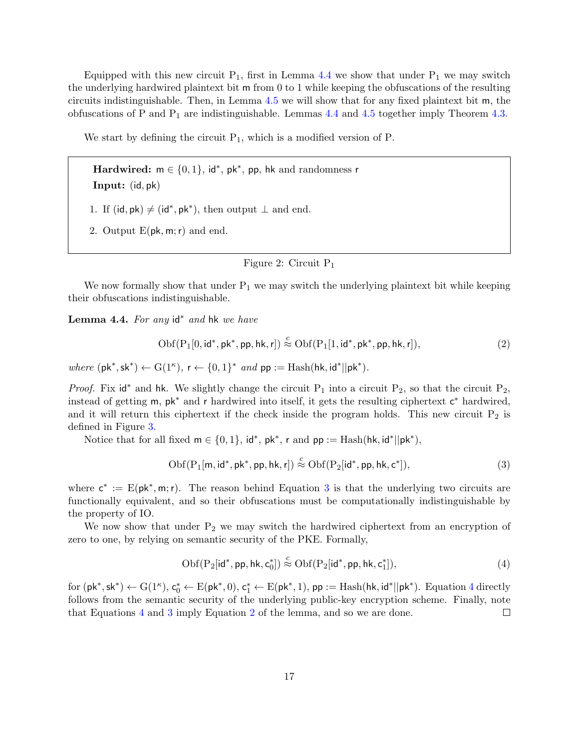Equipped with this new circuit  $P_1$ , first in Lemma [4.4](#page-16-1) we show that under  $P_1$  we may switch the underlying hardwired plaintext bit m from 0 to 1 while keeping the obfuscations of the resulting circuits indistinguishable. Then, in Lemma [4.5](#page-17-0) we will show that for any fixed plaintext bit m, the obfuscations of P and  $P_1$  are indistinguishable. Lemmas [4.4](#page-16-1) and [4.5](#page-17-0) together imply Theorem [4.3.](#page-15-3)

We start by defining the circuit  $P_1$ , which is a modified version of P.

Hardwired:  $m \in \{0, 1\}$ , id<sup>\*</sup>, pk<sup>\*</sup>, pp, hk and randomness r Input: (id, pk)

- 1. If  $(id, pk) \neq (id^*, pk^*)$ , then output  $\perp$  and end.
- 2. Output  $E(\mathsf{pk}, \mathsf{m}; r)$  and end.

## <span id="page-16-0"></span>Figure 2: Circuit P<sup>1</sup>

We now formally show that under  $P_1$  we may switch the underlying plaintext bit while keeping their obfuscations indistinguishable.

<span id="page-16-1"></span>Lemma 4.4. For any  $\mathsf{id}^*$  and hk we have

<span id="page-16-4"></span>
$$
\mathrm{Obf}(\mathrm{P}_1[0,\mathsf{id}^*,\mathsf{pk}^*,\mathsf{pp},\mathsf{hk},\mathsf{r}]) \stackrel{c}{\approx} \mathrm{Obf}(\mathrm{P}_1[1,\mathsf{id}^*,\mathsf{pk}^*,\mathsf{pp},\mathsf{hk},\mathsf{r}]),\tag{2}
$$

where  $(\mathsf{pk}^*, \mathsf{sk}^*) \leftarrow G(1^{\kappa}), r \leftarrow \{0, 1\}^*$  and  $\mathsf{pp} := \text{Hash}(\mathsf{hk}, \mathsf{id}^*|| \mathsf{pk}^*)$ .

*Proof.* Fix id<sup>\*</sup> and hk. We slightly change the circuit  $P_1$  into a circuit  $P_2$ , so that the circuit  $P_2$ , instead of getting m, pk<sup>\*</sup> and r hardwired into itself, it gets the resulting ciphertext c<sup>\*</sup> hardwired, and it will return this ciphertext if the check inside the program holds. This new circuit  $P_2$  is defined in Figure [3.](#page-17-1)

Notice that for all fixed  $m \in \{0, 1\}$ , id<sup>\*</sup>,  $pk^*$ , r and  $pp :=$  Hash(hk, id<sup>\*</sup>||pk<sup>\*</sup>),

<span id="page-16-2"></span>
$$
\mathrm{Obf}(P_1[m, id^*, pk^*, pp, hk, r]) \stackrel{c}{\approx} \mathrm{Obf}(P_2[id^*, pp, hk, c^*]),\tag{3}
$$

where  $c^* := E(\mathsf{pk}^*, \mathsf{m}; r)$ . The reason behind Equation [3](#page-16-2) is that the underlying two circuits are functionally equivalent, and so their obfuscations must be computationally indistinguishable by the property of IO.

We now show that under  $P_2$  we may switch the hardwired ciphertext from an encryption of zero to one, by relying on semantic security of the PKE. Formally,

<span id="page-16-3"></span>
$$
\mathrm{Obf}(\mathrm{P}_2[\mathsf{id}^*, \mathsf{pp}, \mathsf{hk}, \mathsf{c}_0^*]) \stackrel{c}{\approx} \mathrm{Obf}(\mathrm{P}_2[\mathsf{id}^*, \mathsf{pp}, \mathsf{hk}, \mathsf{c}_1^*]),\tag{4}
$$

 $\text{for } (\mathsf{pk}^*, \mathsf{sk}^*) \leftarrow G(1^{\kappa}), c_0^* \leftarrow E(\mathsf{pk}^*, 0), c_1^* \leftarrow E(\mathsf{pk}^*, 1), \mathsf{pp} := \text{Hash}(\mathsf{hk}, \mathsf{id}^*||\mathsf{pk}^*)$ . Equation [4](#page-16-3) directly follows from the semantic security of the underlying public-key encryption scheme. Finally, note that Equations [4](#page-16-3) and [3](#page-16-2) imply Equation [2](#page-16-4) of the lemma, and so we are done.  $\Box$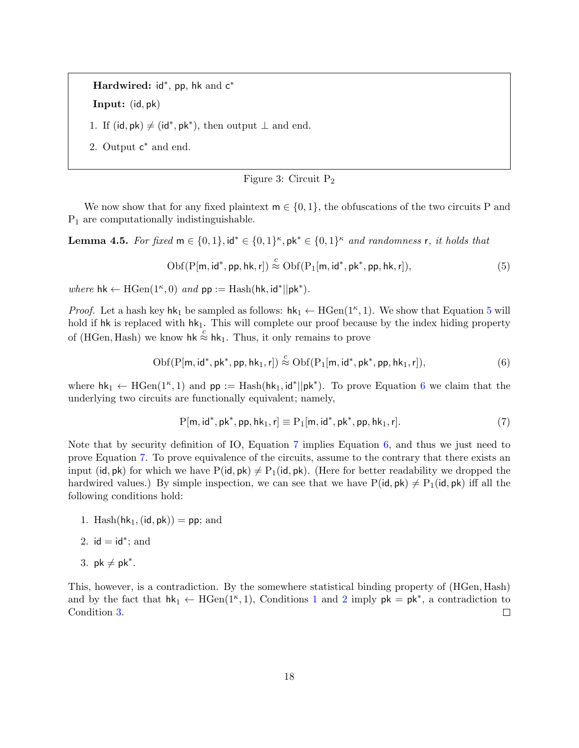Hardwired:  $id^*$ , pp, hk and  $c^*$ Input: (id, pk) 1. If  $(id, pk) \neq (id^*, pk^*)$ , then output  $\perp$  and end. 2. Output  $c^*$  and end.

## <span id="page-17-1"></span>Figure 3: Circuit P<sup>2</sup>

We now show that for any fixed plaintext  $m \in \{0, 1\}$ , the obfuscations of the two circuits P and  $P_1$  are computationally indistinguishable.

<span id="page-17-0"></span>**Lemma 4.5.** For fixed  $m \in \{0,1\}$ , id<sup>\*</sup>  $\in \{0,1\}^{\kappa}$ ,  $pk^* \in \{0,1\}^{\kappa}$  and randomness r, it holds that

<span id="page-17-2"></span>
$$
Obf(P[m, id^*, pp, hk, r]) \stackrel{c}{\approx} Obf(P_1[m, id^*, pk^*, pp, hk, r]),
$$
\n(5)

where  $hk \leftarrow \text{HGen}(1^{\kappa}, 0)$  and  $pp := \text{Hash}(hk, id^*||pk^*)$ .

*Proof.* Let a hash key  $hk_1$  be sampled as follows:  $hk_1 \leftarrow \text{HGen}(1^{\kappa}, 1)$ . We show that Equation [5](#page-17-2) will hold if  $hk$  is replaced with  $hk_1$ . This will complete our proof because by the index hiding property of (HGen, Hash) we know  $\mathsf{hk} \overset{c}{\approx} \mathsf{hk}_1$ . Thus, it only remains to prove

<span id="page-17-3"></span>
$$
\mathrm{Obf}(P[m, id^*, pk^*, pp, hk_1, r]) \stackrel{c}{\approx} \mathrm{Obf}(P_1[m, id^*, pk^*, pp, hk_1, r]),\tag{6}
$$

where  $hk_1 \leftarrow \text{HGen}(1^{\kappa}, 1)$  and  $pp := \text{Hash}(hk_1, id^*||pk^*)$ . To prove Equation [6](#page-17-3) we claim that the underlying two circuits are functionally equivalent; namely,

<span id="page-17-4"></span>
$$
P[m, id^*, pk^*, pp, hk_1, r] \equiv P_1[m, id^*, pk^*, pp, hk_1, r].
$$
\n
$$
(7)
$$

Note that by security definition of IO, Equation [7](#page-17-4) implies Equation [6,](#page-17-3) and thus we just need to prove Equation [7.](#page-17-4) To prove equivalence of the circuits, assume to the contrary that there exists an input (id, pk) for which we have  $P(id, pk) \neq P_1(id, pk)$ . (Here for better readability we dropped the hardwired values.) By simple inspection, we can see that we have  $P(id, pk) \neq P_1(id, pk)$  iff all the following conditions hold:

- <span id="page-17-5"></span>1. Hash $(hk_1, (id, pk)) = pp$ ; and
- <span id="page-17-6"></span>2.  $id = id^*$ ; and
- <span id="page-17-7"></span>3.  $pk \neq pk^*$ .

This, however, is a contradiction. By the somewhere statistical binding property of (HGen, Hash) and by the fact that  $hk_1 \leftarrow \text{HGen}(1^{\kappa}, 1)$  $hk_1 \leftarrow \text{HGen}(1^{\kappa}, 1)$  $hk_1 \leftarrow \text{HGen}(1^{\kappa}, 1)$ , Conditions 1 and [2](#page-17-6) imply  $pk = pk^*$ , a contradiction to  $\Box$ Condition [3.](#page-17-7)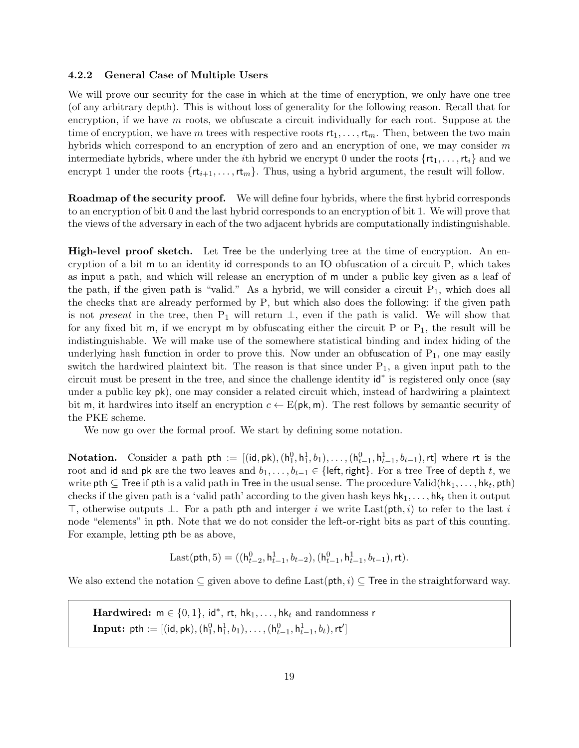#### <span id="page-18-0"></span>4.2.2 General Case of Multiple Users

We will prove our security for the case in which at the time of encryption, we only have one tree (of any arbitrary depth). This is without loss of generality for the following reason. Recall that for encryption, if we have  $m$  roots, we obfuscate a circuit individually for each root. Suppose at the time of encryption, we have m trees with respective roots  $rt_1, \ldots, rt_m$ . Then, between the two main hybrids which correspond to an encryption of zero and an encryption of one, we may consider m intermediate hybrids, where under the *i*th hybrid we encrypt 0 under the roots  $\{rt_1, \ldots, rt_i\}$  and we encrypt 1 under the roots  $\{rt_{i+1}, \ldots, rt_m\}$ . Thus, using a hybrid argument, the result will follow.

Roadmap of the security proof. We will define four hybrids, where the first hybrid corresponds to an encryption of bit 0 and the last hybrid corresponds to an encryption of bit 1. We will prove that the views of the adversary in each of the two adjacent hybrids are computationally indistinguishable.

High-level proof sketch. Let Tree be the underlying tree at the time of encryption. An encryption of a bit m to an identity id corresponds to an IO obfuscation of a circuit P, which takes as input a path, and which will release an encryption of m under a public key given as a leaf of the path, if the given path is "valid." As a hybrid, we will consider a circuit  $P_1$ , which does all the checks that are already performed by P, but which also does the following: if the given path is not present in the tree, then  $P_1$  will return  $\perp$ , even if the path is valid. We will show that for any fixed bit m, if we encrypt m by obfuscating either the circuit P or  $P_1$ , the result will be indistinguishable. We will make use of the somewhere statistical binding and index hiding of the underlying hash function in order to prove this. Now under an obfuscation of  $P_1$ , one may easily switch the hardwired plaintext bit. The reason is that since under  $P_1$ , a given input path to the circuit must be present in the tree, and since the challenge identity id<sup>∗</sup> is registered only once (say under a public key pk), one may consider a related circuit which, instead of hardwiring a plaintext bit m, it hardwires into itself an encryption  $c \leftarrow E(\mathsf{pk}, \mathsf{m})$ . The rest follows by semantic security of the PKE scheme.

We now go over the formal proof. We start by defining some notation.

**Notation.** Consider a path pth :=  $[(id, pk), (h_1^0, h_1^1, b_1), ..., (h_{t-1}^0, h_{t-1}^1, b_{t-1}),$ rt] where rt is the root and id and pk are the two leaves and  $b_1, \ldots, b_{t-1} \in \{\text{left}, \text{right}\}.$  For a tree Tree of depth t, we write  $\mathsf{pth} \subseteq \mathsf{T}$ ree if  $\mathsf{pth}$  is a valid  $\text{path in } \mathsf{T}$ ree in the usual sense. The procedure  $\text{Valid}(\mathsf{hk}_1, \ldots, \mathsf{hk}_t, \mathsf{pth})$ checks if the given path is a 'valid path' according to the given hash keys  $hk_1, \ldots, hk_t$  then it output T, otherwise outputs ⊥. For a path pth and interger i we write Last(pth, i) to refer to the last i node "elements" in pth. Note that we do not consider the left-or-right bits as part of this counting. For example, letting pth be as above,

Last(pth, 5) = 
$$
((h_{t-2}^0, h_{t-1}^1, b_{t-2}), (h_{t-1}^0, h_{t-1}^1, b_{t-1}), rt).
$$

We also extend the notation  $\subseteq$  given above to define Last(pth, i)  $\subseteq$  Tree in the straightforward way.

Hardwired:  $m \in \{0, 1\}$ , id<sup>\*</sup>, rt, hk<sub>1</sub>, ..., hk<sub>t</sub> and randomness r  $\textbf{Input: } \textsf{pth} := [(\mathsf{id}, \mathsf{pk}), (\mathsf{h}_1^0, \mathsf{h}_1^1, b_1), \dots, (\mathsf{h}_{t-1}^0, \mathsf{h}_{t-1}^1, b_t), \mathsf{rt}']$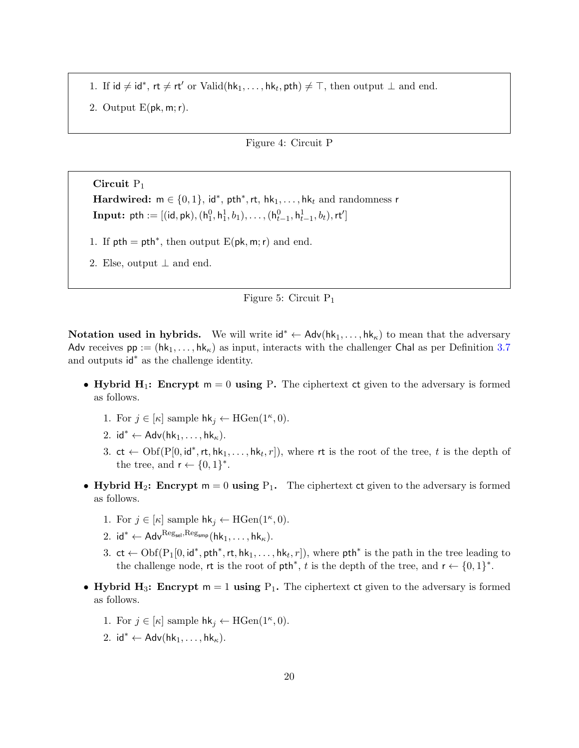- 1. If  $id \neq id^*$ ,  $rt \neq rt'$  or Valid( $hk_1, \ldots, hk_t, pth$ )  $\neq \top$ , then output  $\bot$  and end.
- 2. Output  $E(\mathsf{pk}, \mathsf{m}; \mathsf{r})$ .

## Figure 4: Circuit P

Circuit  $P_1$ Hardwired:  $m \in \{0, 1\}$ , id<sup>\*</sup>, pth<sup>\*</sup>, rt, hk<sub>1</sub>, . . . , hk<sub>t</sub> and randomness r  $\textbf{Input: } \textsf{pth} := [(\mathsf{id}, \mathsf{pk}), (\mathsf{h}_1^0, \mathsf{h}_1^1, b_1), \dots, (\mathsf{h}_{t-1}^0, \mathsf{h}_{t-1}^1, b_t), \mathsf{rt}']$ 

- 1. If  $pth = pth^*$ , then output  $E(pk, m; r)$  and end.
- 2. Else, output  $\perp$  and end.

#### Figure 5: Circuit P<sup>1</sup>

Notation used in hybrids. We will write  $d^* \leftarrow Adv(hk_1, \ldots, hk_\kappa)$  to mean that the adversary Adv receives  $pp := (hk_1, \ldots, hk_\kappa)$  as input, interacts with the challenger Chal as per Definition [3.7](#page-11-2) and outputs id<sup>∗</sup> as the challenge identity.

- Hybrid H<sub>1</sub>: Encrypt  $m = 0$  using P. The ciphertext ct given to the adversary is formed as follows.
	- 1. For  $j \in [\kappa]$  sample  $\mathsf{hk}_j \leftarrow \text{HGen}(1^{\kappa}, 0)$ .
	- 2. id<sup>\*</sup> ← Adv(hk<sub>1</sub>, ..., hk<sub> $\kappa$ </sub>).
	- 3. ct  $\leftarrow \text{Obf}(P[0, id^*, rt, hk_1, \ldots, hk_t, r]),$  where rt is the root of the tree, t is the depth of the tree, and  $r \leftarrow \{0, 1\}^*$ .
- Hybrid H<sub>2</sub>: Encrypt  $m = 0$  using  $P_1$ . The ciphertext ct given to the adversary is formed as follows.
	- 1. For  $j \in [\kappa]$  sample  $\mathsf{hk}_j \leftarrow \text{HGen}(1^{\kappa}, 0)$ .
	- 2.  $id^* \leftarrow \text{Adv}^{\text{Reg}_{\text{sel}}, \text{Reg}_{\text{smp}}}(hk_1, \ldots, hk_k).$
	- 3. ct  $\leftarrow$  Obf(P<sub>1</sub>[0, id<sup>\*</sup>, pth<sup>\*</sup>, rt, hk<sub>1</sub>, ..., hk<sub>t</sub>, r]), where pth<sup>\*</sup> is the path in the tree leading to the challenge node, rt is the root of pth<sup>\*</sup>, t is the depth of the tree, and  $r \leftarrow \{0,1\}^*$ .
- Hybrid H<sub>3</sub>: Encrypt  $m = 1$  using  $P_1$ . The ciphertext ct given to the adversary is formed as follows.
	- 1. For  $j \in [\kappa]$  sample  $\mathsf{hk}_j \leftarrow \text{HGen}(1^{\kappa}, 0)$ .
	- 2.  $id^* \leftarrow Adv(hk_1, \ldots, hk_\kappa)$ .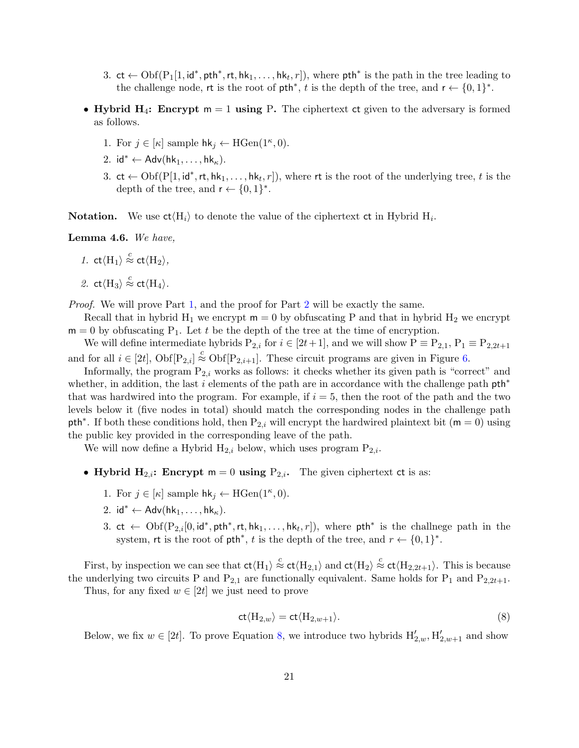- 3. ct  $\leftarrow$  Obf(P<sub>1</sub>[1, id<sup>\*</sup>, pth<sup>\*</sup>, rt, hk<sub>1</sub>, ..., hk<sub>t</sub>, r]), where pth<sup>\*</sup> is the path in the tree leading to the challenge node, rt is the root of pth<sup>\*</sup>, t is the depth of the tree, and  $r \leftarrow \{0,1\}^*$ .
- Hybrid H<sub>4</sub>: Encrypt  $m = 1$  using P. The ciphertext ct given to the adversary is formed as follows.
	- 1. For  $j \in [\kappa]$  sample  $\mathsf{hk}_j \leftarrow \text{HGen}(1^{\kappa}, 0)$ .
	- 2. id<sup>\*</sup> ← Adv(hk<sub>1</sub>,..., hk<sub>k</sub>).
	- 3. ct  $\leftarrow$  Obf(P[1, id<sup>\*</sup>, rt, hk<sub>1</sub>, ..., hk<sub>t</sub>, r]), where rt is the root of the underlying tree, t is the depth of the tree, and  $\mathsf{r} \leftarrow \{0,1\}^*$ .

**Notation.** We use  $ct\langle H_i \rangle$  to denote the value of the ciphertext ct in Hybrid  $H_i$ .

Lemma 4.6. We have,

<span id="page-20-0"></span>1.  $ct\langle H_1 \rangle \stackrel{c}{\approx} ct\langle H_2 \rangle$ ,

<span id="page-20-1"></span>
$$
\text{2. ct}\langle H_3 \rangle \stackrel{c}{\approx} \text{ct}\langle H_4 \rangle.
$$

Proof. We will prove Part [1,](#page-20-0) and the proof for Part [2](#page-20-1) will be exactly the same.

Recall that in hybrid  $H_1$  we encrypt  $m = 0$  by obfuscating P and that in hybrid  $H_2$  we encrypt  $m = 0$  by obfuscating  $P_1$ . Let t be the depth of the tree at the time of encryption.

We will define intermediate hybrids  $P_{2,i}$  for  $i \in [2t+1]$ , and we will show  $P \equiv P_{2,1}$ ,  $P_1 \equiv P_{2,2t+1}$ and for all  $i \in [2t]$ ,  $\mathrm{Obf}[\mathrm{P}_{2,i}] \stackrel{c}{\approx} \mathrm{Obf}[\mathrm{P}_{2,i+1}]$ . These circuit programs are given in Figure [6.](#page-22-2)

Informally, the program  $P_{2,i}$  works as follows: it checks whether its given path is "correct" and whether, in addition, the last i elements of the path are in accordance with the challenge path  $pth<sup>*</sup>$ that was hardwired into the program. For example, if  $i = 5$ , then the root of the path and the two levels below it (five nodes in total) should match the corresponding nodes in the challenge path pth<sup>\*</sup>. If both these conditions hold, then  $P_{2,i}$  will encrypt the hardwired plaintext bit (m = 0) using the public key provided in the corresponding leave of the path.

We will now define a Hybrid  $H_{2,i}$  below, which uses program  $P_{2,i}$ .

- Hybrid  $H_{2,i}$ : Encrypt m = 0 using  $P_{2,i}$ . The given ciphertext ct is as:
	- 1. For  $j \in [\kappa]$  sample  $\mathsf{hk}_j \leftarrow \text{HGen}(1^{\kappa}, 0)$ .
	- 2. id<sup>\*</sup> ← Adv(hk<sub>1</sub>,..., hk<sub>K</sub>).
	- 3. ct  $\leftarrow$  Obf(P<sub>2,i</sub>[0, id<sup>\*</sup>, pth<sup>\*</sup>, rt, hk<sub>1</sub>, ..., hk<sub>t</sub>, r]), where pth<sup>\*</sup> is the challnege path in the system, rt is the root of pth<sup>\*</sup>, t is the depth of the tree, and  $r \leftarrow \{0,1\}^*$ .

First, by inspection we can see that  $ct\langle H_1 \rangle \stackrel{c}{\approx} ct\langle H_{2,1} \rangle$  and  $ct\langle H_2 \rangle \stackrel{c}{\approx} ct\langle H_{2,2t+1} \rangle$ . This is because the underlying two circuits P and  $P_{2,1}$  are functionally equivalent. Same holds for  $P_1$  and  $P_{2,2t+1}$ .

Thus, for any fixed  $w \in [2t]$  we just need to prove

<span id="page-20-2"></span>
$$
ct\langle H_{2,w}\rangle = ct\langle H_{2,w+1}\rangle.
$$
\n(8)

Below, we fix  $w \in [2t]$ . To prove Equation [8,](#page-20-2) we introduce two hybrids  $H'_{2,w}, H'_{2,w+1}$  and show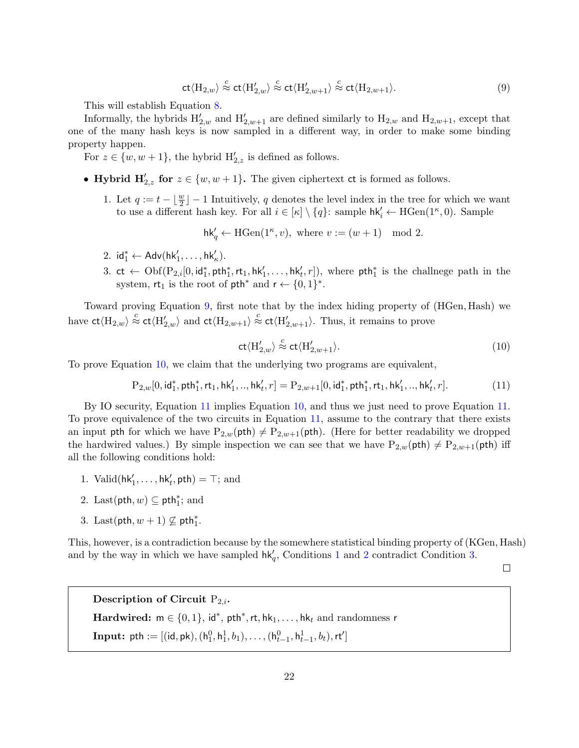<span id="page-21-0"></span>
$$
\mathsf{ct}\langle H_{2,w}\rangle \stackrel{c}{\approx} \mathsf{ct}\langle H'_{2,w}\rangle \stackrel{c}{\approx} \mathsf{ct}\langle H'_{2,w+1}\rangle \stackrel{c}{\approx} \mathsf{ct}\langle H_{2,w+1}\rangle.
$$
 (9)

This will establish Equation [8.](#page-20-2)

Informally, the hybrids  $H'_{2,w}$  and  $H'_{2,w+1}$  are defined similarly to  $H_{2,w}$  and  $H_{2,w+1}$ , except that one of the many hash keys is now sampled in a different way, in order to make some binding property happen.

For  $z \in \{w, w+1\}$ , the hybrid  $H'_{2,z}$  is defined as follows.

- Hybrid  $H'_{2,z}$  for  $z \in \{w, w+1\}$ . The given ciphertext ct is formed as follows.
	- 1. Let  $q := t \lfloor \frac{w}{2} \rfloor 1$  Intuitively, q denotes the level index in the tree for which we want to use a different hash key. For all  $i \in [\kappa] \setminus \{q\}$ : sample  $\mathsf{hk}'_i \leftarrow \text{HGen}(1^{\kappa}, 0)$ . Sample

 $\mathsf{hk}_q' \leftarrow \text{HGen}(1^{\kappa}, v)$ , where  $v := (w + 1) \mod 2$ .

- 2.  $id_1^* \leftarrow Adv(hk'_1, \ldots, hk'_\kappa).$
- 3. ct  $\leftarrow \text{Obf}(P_{2,i}[0, id_1^*, pth_1^*, rt_1, hk_1', \ldots, hk_t', r]),$  where pth<sub>1</sub><sup>\*</sup> is the challnege path in the system,  $rt_1$  is the root of pth<sup>\*</sup> and  $r \leftarrow \{0, 1\}^*$ .

Toward proving Equation [9,](#page-21-0) first note that by the index hiding property of (HGen, Hash) we have  $ct\langle H_{2,w}\rangle \stackrel{c}{\approx} ct\langle H'_{2,w}\rangle$  and  $ct\langle H_{2,w+1}\rangle \stackrel{c}{\approx} ct\langle H'_{2,w+1}\rangle$ . Thus, it remains to prove

<span id="page-21-1"></span>
$$
ct\langle H'_{2,w}\rangle \stackrel{c}{\approx} ct\langle H'_{2,w+1}\rangle. \tag{10}
$$

To prove Equation [10,](#page-21-1) we claim that the underlying two programs are equivalent,

<span id="page-21-2"></span>
$$
\mathrm{P}_{2,w}[0,\mathrm{id}_1^*,\mathsf{pth}_1^*,\mathsf{rt}_1,\mathsf{hk}_1',..,\mathsf{hk}_t',r] = \mathrm{P}_{2,w+1}[0,\mathrm{id}_1^*,\mathsf{pth}_1^*,\mathsf{rt}_1,\mathsf{hk}_1',..,\mathsf{hk}_t',r]. \tag{11}
$$

By IO security, Equation [11](#page-21-2) implies Equation [10,](#page-21-1) and thus we just need to prove Equation [11.](#page-21-2) To prove equivalence of the two circuits in Equation [11,](#page-21-2) assume to the contrary that there exists an input pth for which we have  $P_{2,w}(\text{pth}) \neq P_{2,w+1}(\text{pth})$ . (Here for better readability we dropped the hardwired values.) By simple inspection we can see that we have  $P_{2,w}(\text{pth}) \neq P_{2,w+1}(\text{pth})$  iff all the following conditions hold:

- <span id="page-21-3"></span>1. Valid( $hk'_1, \ldots, hk'_t, pth$ ) =  $\top$ ; and
- <span id="page-21-4"></span>2. Last(pth,  $w \subseteq \mathsf{pth}_1^*$ ; and
- <span id="page-21-5"></span>3. Last(pth,  $w + 1$ )  $\nsubseteq$  pth<sup>\*</sup><sub>1</sub>.

This, however, is a contradiction because by the somewhere statistical binding property of (KGen, Hash) and by the way in which we have sampled  $\mathsf{hk}'_q$ , Conditions [1](#page-21-3) and [2](#page-21-4) contradict Condition [3.](#page-21-5)

 $\Box$ 

Description of Circuit  $P_{2,i}$ . Hardwired:  $m \in \{0, 1\}$ , id<sup>\*</sup>, pth<sup>\*</sup>, rt, hk<sub>1</sub>, . . . , hk<sub>t</sub> and randomness r  $\textbf{Input: } \textsf{pth} := [(\mathsf{id}, \mathsf{pk}), (\mathsf{h}_1^0, \mathsf{h}_1^1, b_1), \dots, (\mathsf{h}_{t-1}^0, \mathsf{h}_{t-1}^1, b_t), \mathsf{rt}']$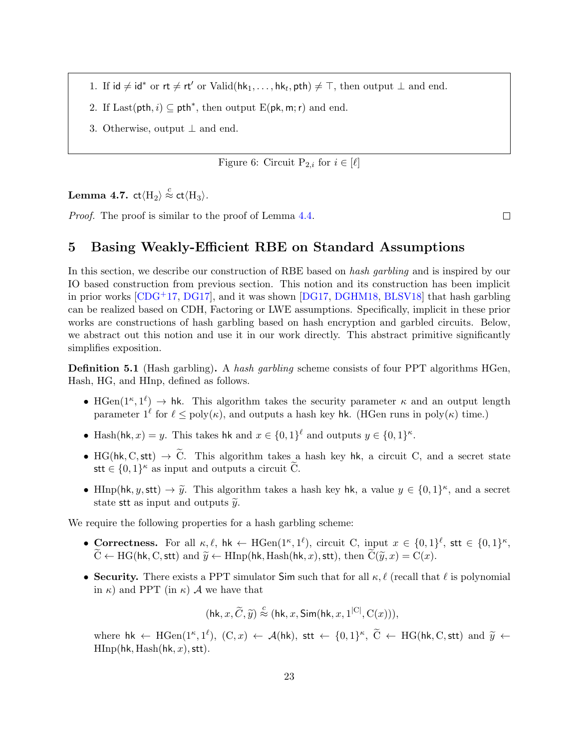- 1. If  $id \neq id^*$  or  $rt \neq rt'$  or Valid( $hk_1, \ldots, hk_t, pth$ )  $\neq \top$ , then output  $\bot$  and end.
- 2. If Last(pth,  $i) \subseteq$  pth<sup>\*</sup>, then output  $E$ (pk, m; r) and end.
- 3. Otherwise, output ⊥ and end.

<span id="page-22-2"></span>Figure 6: Circuit  $P_{2,i}$  for  $i \in [\ell]$ 

Lemma 4.7. ct $\langle \rm{H}_{2} \rangle \stackrel{c}{\approx}$  ct $\langle \rm{H}_{3} \rangle.$ 

Proof. The proof is similar to the proof of Lemma [4.4.](#page-16-1)

 $\Box$ 

# <span id="page-22-0"></span>5 Basing Weakly-Efficient RBE on Standard Assumptions

In this section, we describe our construction of RBE based on hash garbling and is inspired by our IO based construction from previous section. This notion and its construction has been implicit in prior works [\[CDG](#page-27-8)+17, [DG17\]](#page-27-2), and it was shown [\[DG17,](#page-27-2) [DGHM18,](#page-28-9) [BLSV18\]](#page-27-9) that hash garbling can be realized based on CDH, Factoring or LWE assumptions. Specifically, implicit in these prior works are constructions of hash garbling based on hash encryption and garbled circuits. Below, we abstract out this notion and use it in our work directly. This abstract primitive significantly simplifies exposition.

<span id="page-22-1"></span>Definition 5.1 (Hash garbling). A hash garbling scheme consists of four PPT algorithms HGen, Hash, HG, and HInp, defined as follows.

- HGen( $1^{\kappa}, 1^{\ell}$ )  $\rightarrow$  hk. This algorithm takes the security parameter  $\kappa$  and an output length parameter  $1^{\ell}$  for  $\ell \leq \text{poly}(\kappa)$ , and outputs a hash key hk. (HGen runs in  $\text{poly}(\kappa)$  time.)
- Hash(hk, x) = y. This takes hk and  $x \in \{0,1\}^{\ell}$  and outputs  $y \in \{0,1\}^{\kappa}$ .
- HG(hk, C, stt)  $\rightarrow \tilde{C}$ . This algorithm takes a hash key hk, a circuit C, and a secret state stt  $\in \{0,1\}^{\kappa}$  as input and outputs a circuit  $\widetilde{C}$ .
- HInp(hk, y, stt)  $\rightarrow \tilde{y}$ . This algorithm takes a hash key hk, a value  $y \in \{0,1\}^{\kappa}$ , and a secret state stt as input and outputs  $\widetilde{y}$ .

We require the following properties for a hash garbling scheme:

- Correctness. For all  $\kappa, \ell, \, \text{hk} \leftarrow \text{HGen}(1^{\kappa}, 1^{\ell}),$  circuit C, input  $x \in \{0, 1\}^{\ell},$  stt  $\in \{0, 1\}^{\kappa}$ ,  $\widetilde{C} \leftarrow HG(hk, C, \textsf{stt})$  and  $\widetilde{y} \leftarrow \text{HInp}(hk, \text{Hash}(hk, x), \textsf{stt})$ , then  $\widetilde{C}(\widetilde{y}, x) = C(x)$ .
- Security. There exists a PPT simulator Sim such that for all  $\kappa, \ell$  (recall that  $\ell$  is polynomial in  $\kappa$ ) and PPT (in  $\kappa$ ) A we have that

$$
(\mathsf{hk}, x, \widetilde{C}, \widetilde{y}) \stackrel{c}{\approx} (\mathsf{hk}, x, \mathsf{Sim}(\mathsf{hk}, x, 1^{|C|}, C(x))),
$$

where  $\mathsf{hk} \leftarrow \text{HGen}(1^\kappa, 1^\ell)$ ,  $(C, x) \leftarrow \mathcal{A}(\mathsf{hk})$ ,  $\mathsf{stt} \leftarrow \{0, 1\}^\kappa$ ,  $\widetilde{C} \leftarrow \text{HG}(\mathsf{hk}, C, \mathsf{stt})$  and  $\widetilde{y} \leftarrow \text{HIn}(1^\kappa, \mathsf{ht})$ .  $\text{HInp}(hk, \text{Hash}(hk, x), \text{stt}).$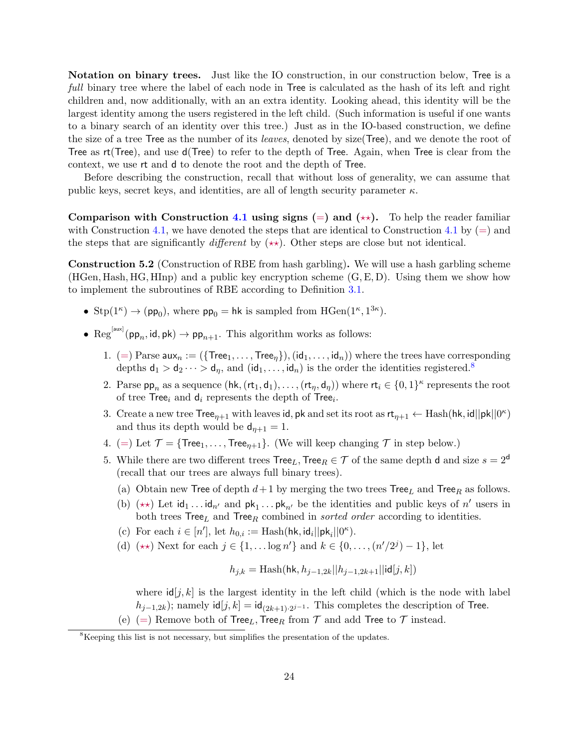Notation on binary trees. Just like the IO construction, in our construction below, Tree is a full binary tree where the label of each node in Tree is calculated as the hash of its left and right children and, now additionally, with an an extra identity. Looking ahead, this identity will be the largest identity among the users registered in the left child. (Such information is useful if one wants to a binary search of an identity over this tree.) Just as in the IO-based construction, we define the size of a tree Tree as the number of its leaves, denoted by size(Tree), and we denote the root of Tree as rt(Tree), and use d(Tree) to refer to the depth of Tree. Again, when Tree is clear from the context, we use rt and d to denote the root and the depth of Tree.

Before describing the construction, recall that without loss of generality, we can assume that public keys, secret keys, and identities, are all of length security parameter  $\kappa$ .

Comparison with Construction [4.1](#page-13-2) using signs (=) and  $(\star \star)$ . To help the reader familiar with Construction [4.1,](#page-13-2) we have denoted the steps that are identical to Construction [4.1](#page-13-2) by  $(=)$  and the steps that are significantly different by  $(\star \star)$ . Other steps are close but not identical.

<span id="page-23-1"></span>Construction 5.2 (Construction of RBE from hash garbling). We will use a hash garbling scheme  $(HGen, Hash, HG, HInp)$  and a public key encryption scheme  $(G, E, D)$ . Using them we show how to implement the subroutines of RBE according to Definition [3.1.](#page-8-2)

- Stp $(1^{\kappa}) \to (pp_0)$ , where  $pp_0 = \hbar k$  is sampled from HGen $(1^{\kappa}, 1^{3\kappa})$ .
- Reg<sup>[aux]</sup> (pp<sub>n</sub>, id, pk)  $\rightarrow$  pp<sub>n+1</sub>. This algorithm works as follows:
	- 1. (=) Parse  $aux_n := (\{Tree_1, \ldots, Tree_n\}), (id_1, \ldots, id_n))$  where the trees have corresponding depths  $d_1 > d_2 \cdots > d_n$ , and  $(id_1, \ldots, id_n)$  is the order the identities registered.<sup>[8](#page-23-0)</sup>
	- 2. Parse  $\mathsf{pp}_n$  as a sequence  $(\mathsf{hk}, (\mathsf{rt}_1, \mathsf{d}_1), \ldots, (\mathsf{rt}_\eta, \mathsf{d}_\eta))$  where  $\mathsf{rt}_i \in \{0,1\}^\kappa$  represents the root of tree  $Tree_i$  and  $d_i$  represents the depth of  $Tree_i$ .
	- 3. Create a new tree  $\text{Tree}_{\eta+1}$  with leaves id, pk and set its root as  $\text{rt}_{\eta+1} \leftarrow \text{Hash}(\text{hk}, \text{id}||\text{pk}||0^{\kappa})$ and thus its depth would be  $d_{n+1} = 1$ .
	- 4. (=) Let  $\mathcal{T} = \{ \text{Tree}_1, \ldots, \text{Tree}_{n+1} \}.$  (We will keep changing  $\mathcal{T}$  in step below.)
	- 5. While there are two different trees  $\text{Tree}_L, \text{Tree}_R \in \mathcal{T}$  of the same depth d and size  $s = 2^d$ (recall that our trees are always full binary trees).
		- (a) Obtain new Tree of depth  $d+1$  by merging the two trees Tree<sub>L</sub> and Tree<sub>R</sub> as follows.
		- (b)  $(\star \star)$  Let  $id_1 \ldots id_{n'}$  and  $pk_1 \ldots pk_{n'}$  be the identities and public keys of  $n'$  users in both trees  $Tree<sub>L</sub>$  and  $Tree<sub>R</sub>$  combined in sorted order according to identities.
		- (c) For each  $i \in [n']$ , let  $h_{0,i} := \text{Hash}(\mathsf{hk}, \mathsf{id}_i || \mathsf{pk}_i || 0^{\kappa}).$
		- (d)  $(\star \star)$  Next for each  $j \in \{1, \ldots \log n'\}$  and  $k \in \{0, \ldots, (n'/2^{j}) 1\}$ , let

$$
h_{j,k} = \text{Hash}(\mathsf{hk}, h_{j-1,2k} || h_{j-1,2k+1} || \mathsf{id}[j,k])
$$

where  $\mathbf{d}[j, k]$  is the largest identity in the left child (which is the node with label  $(h_{j-1,2k})$ ; namely  $\mathsf{id}[j,k] = \mathsf{id}_{(2k+1)\cdot 2^{j-1}}$ . This completes the description of Tree.

(e) (=) Remove both of  $Tree_L$ , Tree<sub>R</sub> from  $\mathcal T$  and add Tree to  $\mathcal T$  instead.

<span id="page-23-0"></span><sup>8</sup>Keeping this list is not necessary, but simplifies the presentation of the updates.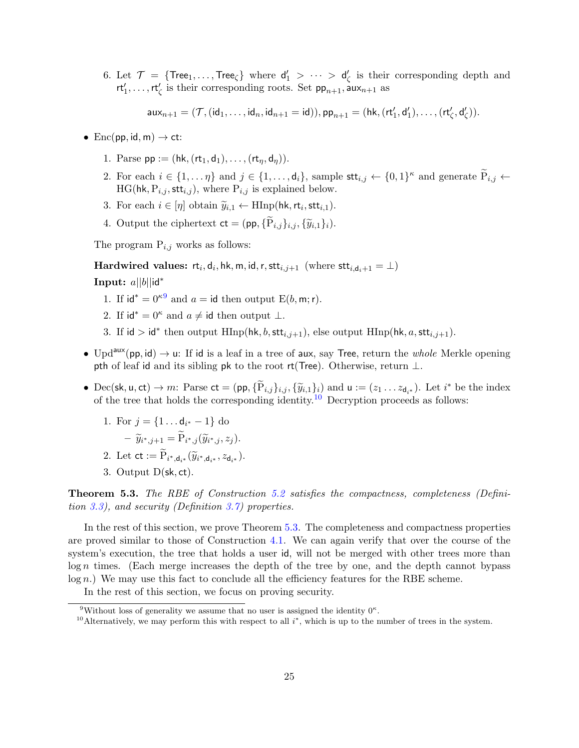6. Let  $\mathcal{T} = \{ \text{Tree}_1, \ldots, \text{Tree}_{\zeta} \}$  where  $d'_1 > \cdots > d'_{\zeta}$  is their corresponding depth and  $rt'_1, \ldots, rt'_{\zeta}$  is their corresponding roots. Set  $pp_{n+1}$ , aux<sub>n+1</sub> as

$$
\mathsf{aux}_{n+1} = (\mathcal{T}, (\mathsf{id}_1, \ldots, \mathsf{id}_n, \mathsf{id}_{n+1} = \mathsf{id})), \mathsf{pp}_{n+1} = (\mathsf{hk}, (\mathsf{rt}'_1, \mathsf{d}'_1), \ldots, (\mathsf{rt}'_{\zeta}, \mathsf{d}'_{\zeta})).
$$

- Enc(pp, id, m)  $\rightarrow$  ct:
	- 1. Parse  $pp := (hk, (rt_1, d_1), \ldots, (rt_n, d_n)).$
	- 2. For each  $i \in \{1, ..., \eta\}$  and  $j \in \{1, ..., d_i\}$ , sample  $\mathsf{stt}_{i,j} \leftarrow \{0, 1\}^{\kappa}$  and generate  $\widetilde{P}_{i,j} \leftarrow$  $HG(hk, P_{i,j}, stt_{i,j})$ , where  $P_{i,j}$  is explained below.
	- 3. For each  $i \in [\eta]$  obtain  $\widetilde{y}_{i,1} \leftarrow \text{HInp}(\textsf{hk}, \textsf{rt}_i, \textsf{stt}_{i,1}).$
	- 4. Output the ciphertext  $ct = (pp, {\{\widetilde{P}_{i,j}\}}_{i,j}, {\{\widetilde{y}_{i,1}\}}_i).$

The program  $P_{i,j}$  works as follows:

 ${\bf Hardwired\ values}\colon$  rt $_i,$  d $_i,$  hk, m, id, r, stt $_{i,j+1}$   $\ ({\rm where\ str}_{i,{\sf d}_i+1}=\bot)$ 

Input:  $a||b||$ id<sup>\*</sup>

- 1. If  $\mathsf{id}^* = 0^{\kappa 9}$  $\mathsf{id}^* = 0^{\kappa 9}$  $\mathsf{id}^* = 0^{\kappa 9}$  and  $a = \mathsf{id}$  then output  $E(b, m; r)$ .
- 2. If  $id^* = 0^{\kappa}$  and  $a \neq id$  then output  $\perp$ .
- 3. If  $id > id^*$  then output  $\text{HInp}(hk, b, \text{stt}_{i,j+1}),$  else output  $\text{HInp}(hk, a, \text{stt}_{i,j+1}).$
- Upd<sup>aux</sup>(pp, id)  $\rightarrow$  u: If id is a leaf in a tree of aux, say Tree, return the *whole* Merkle opening pth of leaf id and its sibling pk to the root rt(Tree). Otherwise, return  $\perp$ .
- Dec(sk, u, ct)  $\rightarrow$  m: Parse ct = (pp,  $\{\widetilde{P}_{i,j}\}_{i,j}, \{\widetilde{y}_{i,1}\}_i$ ) and  $u := (z_1 \dots z_{d_i^*})$ . Let  $i^*$  be the index of the tree that holds the corresponding identity 10. Decryption proceeds as follows: of the tree that holds the corresponding identity.<sup>[10](#page-24-1)</sup> Decryption proceeds as follows:
	- 1. For  $j = \{1 \dots d_{i^*} 1\}$  do  $-\widetilde{y}_{i^*,j+1} = \mathrm{P}_{i^*,j}(\widetilde{y}_{i^*,j},z_j).$
	- 2. Let  $ct := P_{i^*, d_{i^*}}(\widetilde{y}_{i^*, d_{i^*}}, z_{d_{i^*}}).$
	- 3. Output D(sk, ct).

<span id="page-24-2"></span>Theorem 5.3. The RBE of Construction [5.2](#page-23-1) satisfies the compactness, completeness (Definition [3.3\)](#page-10-1), and security (Definition [3.7\)](#page-11-2) properties.

In the rest of this section, we prove Theorem [5.3.](#page-24-2) The completeness and compactness properties are proved similar to those of Construction [4.1.](#page-13-2) We can again verify that over the course of the system's execution, the tree that holds a user id, will not be merged with other trees more than  $log n$  times. (Each merge increases the depth of the tree by one, and the depth cannot bypass log n.) We may use this fact to conclude all the efficiency features for the RBE scheme.

In the rest of this section, we focus on proving security.

<span id="page-24-0"></span><sup>&</sup>lt;sup>9</sup>Without loss of generality we assume that no user is assigned the identity  $0^{\kappa}$ .

<span id="page-24-1"></span><sup>&</sup>lt;sup>10</sup>Alternatively, we may perform this with respect to all  $i^*$ , which is up to the number of trees in the system.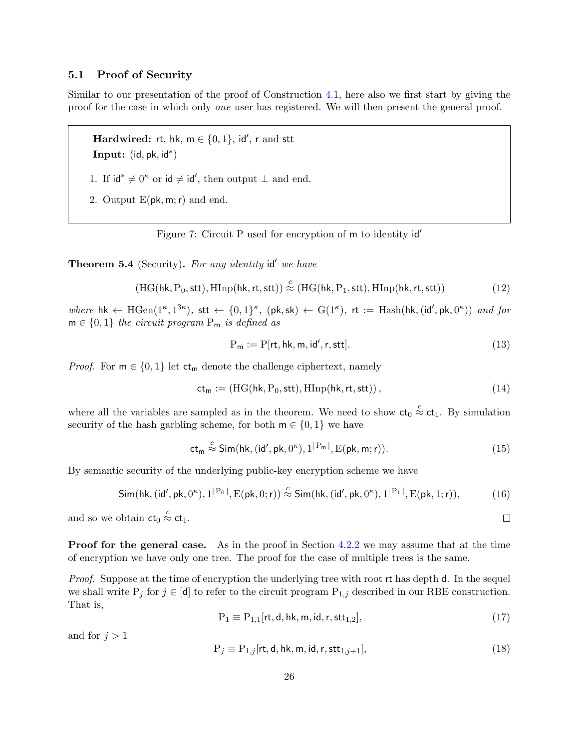## <span id="page-25-0"></span>5.1 Proof of Security

Similar to our presentation of the proof of Construction [4.1,](#page-13-2) here also we first start by giving the proof for the case in which only one user has registered. We will then present the general proof.

Hardwired: rt, hk, m  $\in \{0,1\}$ , id', r and stt  $Input: (id, pk, id^*)$ 

- 1. If  $id^* \neq 0^{\kappa}$  or  $id \neq id'$ , then output  $\perp$  and end.
- 2. Output  $E(\mathsf{pk}, \mathsf{m}; r)$  and end.

Figure 7: Circuit P used for encryption of m to identity id'

<span id="page-25-1"></span>**Theorem 5.4** (Security). For any identity  $\mathbf{id}'$  we have

$$
(HG(hk, P_0, \text{stt}), \text{HInp}(hk, rt, \text{stt})) \stackrel{c}{\approx} (\text{HG}(hk, P_1, \text{stt}), \text{HInp}(hk, rt, \text{stt})) \tag{12}
$$

where  $hk \leftarrow \text{HGen}(1^{\kappa}, 1^{3\kappa})$ , stt  $\leftarrow \{0, 1\}^{\kappa}$ ,  $(\mathsf{pk}, \mathsf{sk}) \leftarrow G(1^{\kappa})$ ,  $\mathsf{rt} := \text{Hash}(\mathsf{hk}, (\mathsf{id}', \mathsf{pk}, 0^{\kappa}))$  and for  $m \in \{0, 1\}$  the circuit program  $P_m$  is defined as

$$
P_m := P[rt, hk, m, id', r, stt].
$$
\n(13)

*Proof.* For  $m \in \{0, 1\}$  let  $ct_m$  denote the challenge ciphertext, namely

$$
\mathsf{ct}_{\mathsf{m}} := (\mathsf{HG}(\mathsf{hk}, \mathsf{P}_0, \mathsf{stt}), \mathsf{HInp}(\mathsf{hk}, \mathsf{rt}, \mathsf{stt})),\tag{14}
$$

where all the variables are sampled as in the theorem. We need to show  $ct_0 \stackrel{c}{\approx} ct_1$ . By simulation security of the hash garbling scheme, for both  $m \in \{0, 1\}$  we have

$$
\mathsf{ct}_{\mathsf{m}} \stackrel{c}{\approx} \mathsf{Sim}(\mathsf{hk}, (\mathsf{id}', \mathsf{pk}, 0^{\kappa}), 1^{|\mathsf{P}_{\mathsf{m}}|}, \mathsf{E}(\mathsf{pk}, \mathsf{m}; \mathsf{r})). \tag{15}
$$

By semantic security of the underlying public-key encryption scheme we have

$$
\mathsf{Sim}(\mathsf{hk}, (\mathsf{id}', \mathsf{pk}, 0^{\kappa}), 1^{|\mathsf{P}_0|}, \mathsf{E}(\mathsf{pk}, 0; \mathsf{r})) \stackrel{c}{\approx} \mathsf{Sim}(\mathsf{hk}, (\mathsf{id}', \mathsf{pk}, 0^{\kappa}), 1^{|\mathsf{P}_1|}, \mathsf{E}(\mathsf{pk}, 1; \mathsf{r})), \tag{16}
$$

and so we obtain  $ct_0 \stackrel{c}{\approx} ct_1$ .

Proof for the general case. As in the proof in Section [4.2.2](#page-18-0) we may assume that at the time of encryption we have only one tree. The proof for the case of multiple trees is the same.

Proof. Suppose at the time of encryption the underlying tree with root rt has depth d. In the sequel we shall write P<sub>j</sub> for  $j \in [d]$  to refer to the circuit program P<sub>1,j</sub> described in our RBE construction. That is,

$$
P_1 \equiv P_{1,1}[rt, d, hk, m, id, r, stt_{1,2}], \qquad (17)
$$

 $\Box$ 

and for  $j > 1$ 

$$
P_j \equiv P_{1,j}[rt, d, hk, m, id, r, stt_{1,j+1}], \qquad (18)
$$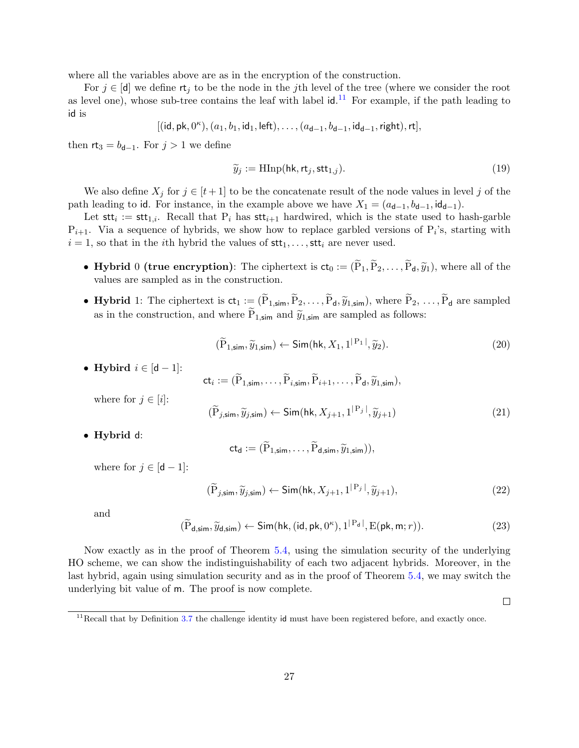where all the variables above are as in the encryption of the construction.

For  $j \in [d]$  we define  $rt_j$  to be the node in the jth level of the tree (where we consider the root as level one), whose sub-tree contains the leaf with label  $\mathsf{id}$ .<sup>[11](#page-26-0)</sup> For example, if the path leading to id is

$$
[(\mathsf{id}, \mathsf{pk}, 0^\kappa), (a_1, b_1, \mathsf{id}_1, \mathsf{left}), \ldots, (a_{\mathsf{d}-1}, b_{\mathsf{d}-1}, \mathsf{id}_{\mathsf{d}-1}, \mathsf{right}), \mathsf{rt}],
$$

then  $rt_3 = b_{d-1}$ . For  $j > 1$  we define

$$
\widetilde{y}_j := \text{HInp}(\mathsf{hk}, \mathsf{rt}_j, \mathsf{stt}_{1,j}).\tag{19}
$$

We also define  $X_j$  for  $j \in [t+1]$  to be the concatenate result of the node values in level j of the path leading to id. For instance, in the example above we have  $X_1 = (a_{d-1}, b_{d-1}, id_{d-1})$ .

Let  $\text{stt}_i := \text{stt}_{1,i}$ . Recall that  $P_i$  has  $\text{stt}_{i+1}$  hardwired, which is the state used to hash-garble  $P_{i+1}$ . Via a sequence of hybrids, we show how to replace garbled versions of  $P_i$ 's, starting with  $i = 1$ , so that in the *i*th hybrid the values of  $\mathsf{stt}_1, \ldots, \mathsf{stt}_i$  are never used.

- Hybrid 0 (true encryption): The ciphertext is  $ct_0 := (\widetilde{P}_1, \widetilde{P}_2, \ldots, \widetilde{P}_d, \widetilde{y}_1)$ , where all of the values are sampled as in the construction.
- Hybrid 1: The ciphertext is  $ct_1 := (\widetilde{P}_{1,\text{sim}}, \widetilde{P}_2, \ldots, \widetilde{P}_d, \widetilde{y}_{1,\text{sim}})$ , where  $\widetilde{P}_2, \ldots, \widetilde{P}_d$  are sampled as in the construction, and where  $\widetilde{P}_{1,\text{sim}}$  and  $\widetilde{y}_{1,\text{sim}}$  are sampled as follows:

$$
(\widetilde{P}_{1,\text{sim}}, \widetilde{y}_{1,\text{sim}}) \leftarrow \text{Sim}(\text{hk}, X_1, 1^{|\mathbf{P}_1|}, \widetilde{y}_2). \tag{20}
$$

• Hybird  $i \in [d-1]$ :

$$
\mathsf{ct}_i := (\widetilde{\mathrm{P}}_{1,\mathsf{sim}}, \ldots, \widetilde{\mathrm{P}}_{i,\mathsf{sim}}, \widetilde{\mathrm{P}}_{i+1}, \ldots, \widetilde{\mathrm{P}}_{\mathsf{d}}, \widetilde{y}_{1,\mathsf{sim}}),
$$

where for 
$$
j \in [i]
$$
:

$$
(\widetilde{\mathbf{P}}_{j,\mathsf{sim}}, \widetilde{y}_{j,\mathsf{sim}}) \leftarrow \mathsf{Sim}(\mathsf{hk}, X_{j+1}, 1^{|\mathbf{P}_j|}, \widetilde{y}_{j+1}) \tag{21}
$$

• Hybrid d:

$$
\mathsf{ct}_{\mathsf{d}}:=(\widetilde{P}_{1,\mathsf{sim}},\ldots,\widetilde{P}_{\mathsf{d},\mathsf{sim}},\widetilde{y}_{1,\mathsf{sim}})),
$$

where for  $j \in [d-1]$ :

$$
(\widetilde{P}_{j,\text{sim}}, \widetilde{y}_{j,\text{sim}}) \leftarrow \text{Sim}(\text{hk}, X_{j+1}, 1^{|P_j|}, \widetilde{y}_{j+1}),\tag{22}
$$

and

$$
(\widetilde{\mathbf{P}}_{\mathsf{d,sim}}, \widetilde{y}_{\mathsf{d,sim}}) \leftarrow \mathsf{Sim}(\mathsf{hk}, (\mathsf{id}, \mathsf{pk}, 0^\kappa), 1^{|\mathbf{P}_{\mathsf{d}}|}, \mathbf{E}(\mathsf{pk}, \mathsf{m}; r)). \tag{23}
$$

Now exactly as in the proof of Theorem [5.4,](#page-25-1) using the simulation security of the underlying HO scheme, we can show the indistinguishability of each two adjacent hybrids. Moreover, in the last hybrid, again using simulation security and as in the proof of Theorem [5.4,](#page-25-1) we may switch the underlying bit value of m. The proof is now complete.

 $\Box$ 

<span id="page-26-0"></span> $11$ Recall that by Definition [3.7](#page-11-2) the challenge identity id must have been registered before, and exactly once.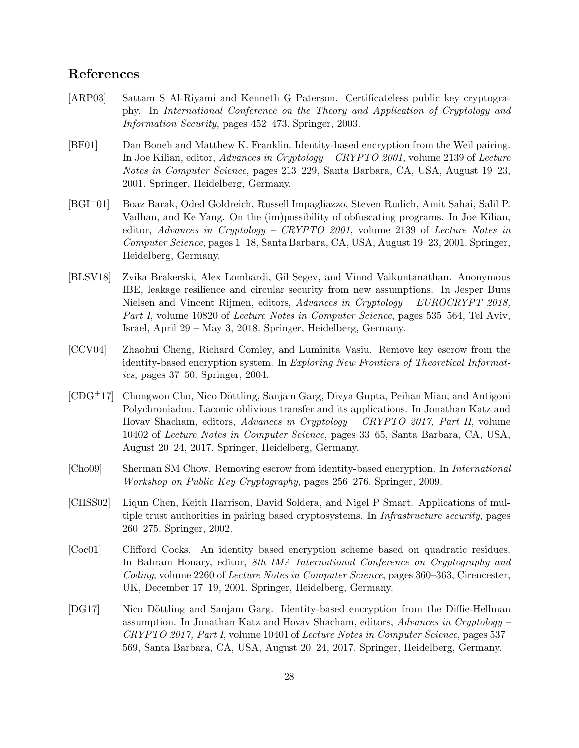# References

- <span id="page-27-6"></span>[ARP03] Sattam S Al-Riyami and Kenneth G Paterson. Certificateless public key cryptography. In International Conference on the Theory and Application of Cryptology and Information Security, pages 452–473. Springer, 2003.
- <span id="page-27-0"></span>[BF01] Dan Boneh and Matthew K. Franklin. Identity-based encryption from the Weil pairing. In Joe Kilian, editor, Advances in Cryptology – CRYPTO 2001, volume 2139 of Lecture Notes in Computer Science, pages 213–229, Santa Barbara, CA, USA, August 19–23, 2001. Springer, Heidelberg, Germany.
- <span id="page-27-7"></span>[BGI+01] Boaz Barak, Oded Goldreich, Russell Impagliazzo, Steven Rudich, Amit Sahai, Salil P. Vadhan, and Ke Yang. On the (im)possibility of obfuscating programs. In Joe Kilian, editor, Advances in Cryptology – CRYPTO 2001, volume 2139 of Lecture Notes in Computer Science, pages 1–18, Santa Barbara, CA, USA, August 19–23, 2001. Springer, Heidelberg, Germany.
- <span id="page-27-9"></span>[BLSV18] Zvika Brakerski, Alex Lombardi, Gil Segev, and Vinod Vaikuntanathan. Anonymous IBE, leakage resilience and circular security from new assumptions. In Jesper Buus Nielsen and Vincent Rijmen, editors, Advances in Cryptology – EUROCRYPT 2018, Part I, volume 10820 of Lecture Notes in Computer Science, pages 535–564, Tel Aviv, Israel, April 29 – May 3, 2018. Springer, Heidelberg, Germany.
- <span id="page-27-4"></span>[CCV04] Zhaohui Cheng, Richard Comley, and Luminita Vasiu. Remove key escrow from the identity-based encryption system. In Exploring New Frontiers of Theoretical Informatics, pages 37–50. Springer, 2004.
- <span id="page-27-8"></span>[CDG<sup>+</sup>17] Chongwon Cho, Nico Döttling, Sanjam Garg, Divya Gupta, Peihan Miao, and Antigoni Polychroniadou. Laconic oblivious transfer and its applications. In Jonathan Katz and Hovav Shacham, editors, Advances in Cryptology – CRYPTO 2017, Part II, volume 10402 of Lecture Notes in Computer Science, pages 33–65, Santa Barbara, CA, USA, August 20–24, 2017. Springer, Heidelberg, Germany.
- <span id="page-27-5"></span>[Cho09] Sherman SM Chow. Removing escrow from identity-based encryption. In International Workshop on Public Key Cryptography, pages 256–276. Springer, 2009.
- <span id="page-27-3"></span>[CHSS02] Liqun Chen, Keith Harrison, David Soldera, and Nigel P Smart. Applications of multiple trust authorities in pairing based cryptosystems. In Infrastructure security, pages 260–275. Springer, 2002.
- <span id="page-27-1"></span>[Coc01] Clifford Cocks. An identity based encryption scheme based on quadratic residues. In Bahram Honary, editor, 8th IMA International Conference on Cryptography and Coding, volume 2260 of Lecture Notes in Computer Science, pages 360–363, Cirencester, UK, December 17–19, 2001. Springer, Heidelberg, Germany.
- <span id="page-27-2"></span>[DG17] Nico Döttling and Sanjam Garg. Identity-based encryption from the Diffie-Hellman assumption. In Jonathan Katz and Hovav Shacham, editors, Advances in Cryptology – CRYPTO 2017, Part I, volume 10401 of Lecture Notes in Computer Science, pages 537– 569, Santa Barbara, CA, USA, August 20–24, 2017. Springer, Heidelberg, Germany.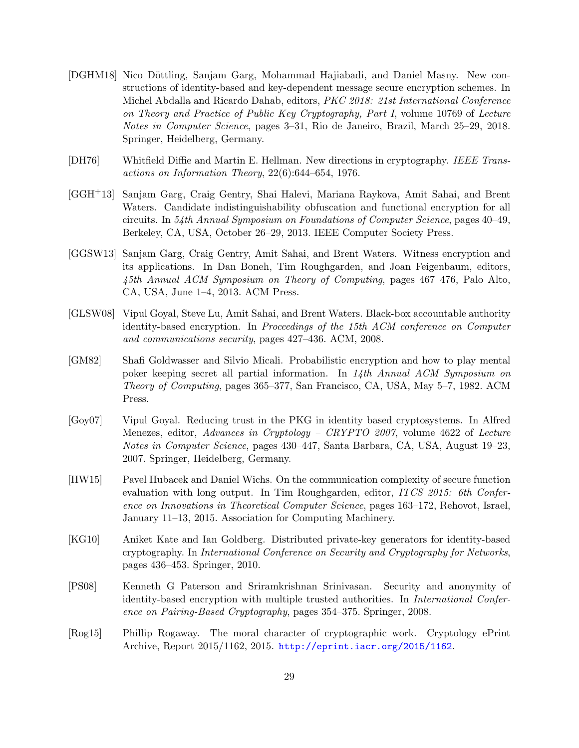- <span id="page-28-9"></span>[DGHM18] Nico Döttling, Sanjam Garg, Mohammad Hajiabadi, and Daniel Masny. New constructions of identity-based and key-dependent message secure encryption schemes. In Michel Abdalla and Ricardo Dahab, editors, PKC 2018: 21st International Conference on Theory and Practice of Public Key Cryptography, Part I, volume 10769 of Lecture Notes in Computer Science, pages 3–31, Rio de Janeiro, Brazil, March 25–29, 2018. Springer, Heidelberg, Germany.
- <span id="page-28-0"></span>[DH76] Whitfield Diffie and Martin E. Hellman. New directions in cryptography. IEEE Transactions on Information Theory, 22(6):644–654, 1976.
- <span id="page-28-8"></span>[GGH+13] Sanjam Garg, Craig Gentry, Shai Halevi, Mariana Raykova, Amit Sahai, and Brent Waters. Candidate indistinguishability obfuscation and functional encryption for all circuits. In 54th Annual Symposium on Foundations of Computer Science, pages 40–49, Berkeley, CA, USA, October 26–29, 2013. IEEE Computer Society Press.
- <span id="page-28-10"></span>[GGSW13] Sanjam Garg, Craig Gentry, Amit Sahai, and Brent Waters. Witness encryption and its applications. In Dan Boneh, Tim Roughgarden, and Joan Feigenbaum, editors, 45th Annual ACM Symposium on Theory of Computing, pages 467–476, Palo Alto, CA, USA, June 1–4, 2013. ACM Press.
- <span id="page-28-6"></span>[GLSW08] Vipul Goyal, Steve Lu, Amit Sahai, and Brent Waters. Black-box accountable authority identity-based encryption. In Proceedings of the 15th ACM conference on Computer and communications security, pages 427–436. ACM, 2008.
- <span id="page-28-1"></span>[GM82] Shafi Goldwasser and Silvio Micali. Probabilistic encryption and how to play mental poker keeping secret all partial information. In 14th Annual ACM Symposium on Theory of Computing, pages 365–377, San Francisco, CA, USA, May 5–7, 1982. ACM Press.
- <span id="page-28-5"></span>[Goy07] Vipul Goyal. Reducing trust in the PKG in identity based cryptosystems. In Alfred Menezes, editor, Advances in Cryptology – CRYPTO 2007, volume 4622 of Lecture Notes in Computer Science, pages 430–447, Santa Barbara, CA, USA, August 19–23, 2007. Springer, Heidelberg, Germany.
- <span id="page-28-7"></span>[HW15] Pavel Hubacek and Daniel Wichs. On the communication complexity of secure function evaluation with long output. In Tim Roughgarden, editor, ITCS 2015: 6th Conference on Innovations in Theoretical Computer Science, pages 163–172, Rehovot, Israel, January 11–13, 2015. Association for Computing Machinery.
- <span id="page-28-4"></span>[KG10] Aniket Kate and Ian Goldberg. Distributed private-key generators for identity-based cryptography. In International Conference on Security and Cryptography for Networks, pages 436–453. Springer, 2010.
- <span id="page-28-3"></span>[PS08] Kenneth G Paterson and Sriramkrishnan Srinivasan. Security and anonymity of identity-based encryption with multiple trusted authorities. In *International Confer*ence on Pairing-Based Cryptography, pages 354–375. Springer, 2008.
- <span id="page-28-2"></span>[Rog15] Phillip Rogaway. The moral character of cryptographic work. Cryptology ePrint Archive, Report 2015/1162, 2015. <http://eprint.iacr.org/2015/1162>.